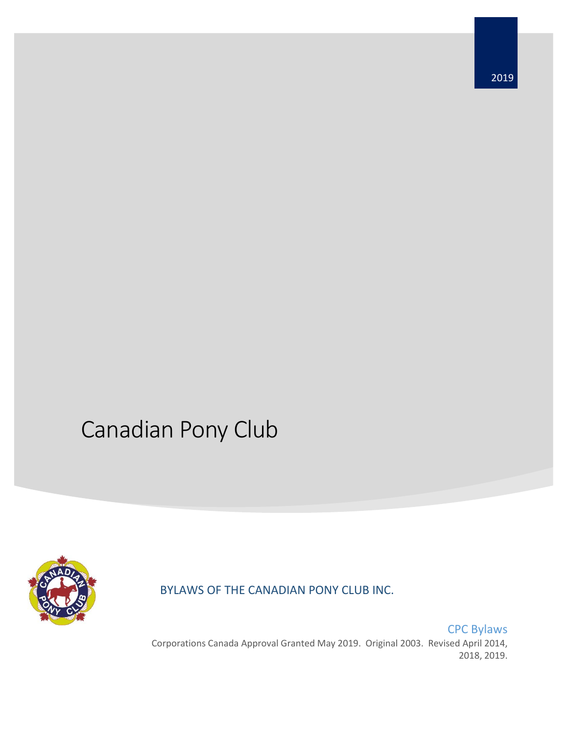# Canadian Pony Club



BYLAWS OF THE CANADIAN PONY CLUB INC.

CPC Bylaws Corporations Canada Approval Granted May 2019. Original 2003. Revised April 2014, 2018, 2019.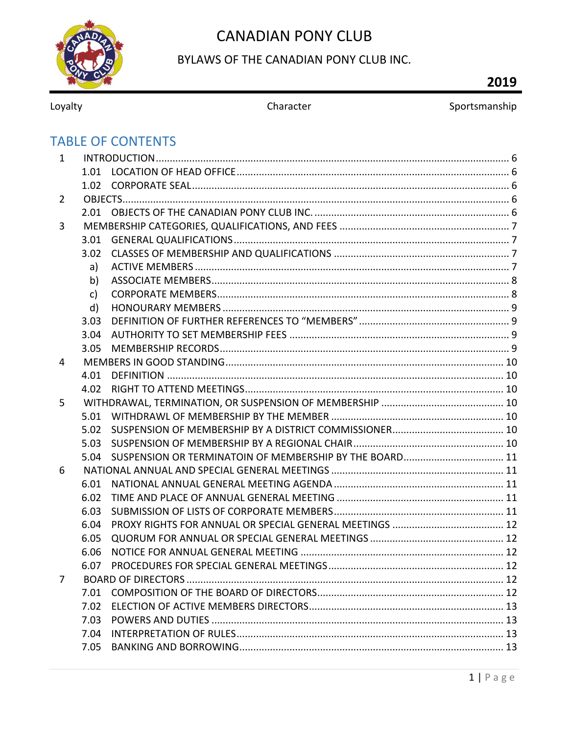

## BYLAWS OF THE CANADIAN PONY CLUB INC.

# 2019

Loyalty

Sportsmanship

# **TABLE OF CONTENTS**

| $\mathbf{1}$   |      |  |
|----------------|------|--|
|                |      |  |
|                |      |  |
| $\overline{2}$ |      |  |
|                |      |  |
| 3              |      |  |
|                | 3.01 |  |
|                | 3.02 |  |
|                | a)   |  |
|                | b)   |  |
|                | c)   |  |
|                | d)   |  |
|                | 3.03 |  |
|                | 3.04 |  |
|                | 3.05 |  |
| 4              |      |  |
|                | 4.01 |  |
|                |      |  |
| 5              |      |  |
|                |      |  |
|                | 5.02 |  |
|                | 5.03 |  |
|                |      |  |
| 6              |      |  |
|                | 6.01 |  |
|                | 6.02 |  |
|                | 6.03 |  |
|                | 6.04 |  |
|                | 6.05 |  |
|                | 6.06 |  |
|                | 6.07 |  |
| 7              |      |  |
|                | 7.01 |  |
|                | 7.02 |  |
|                | 7.03 |  |
|                | 7.04 |  |
|                |      |  |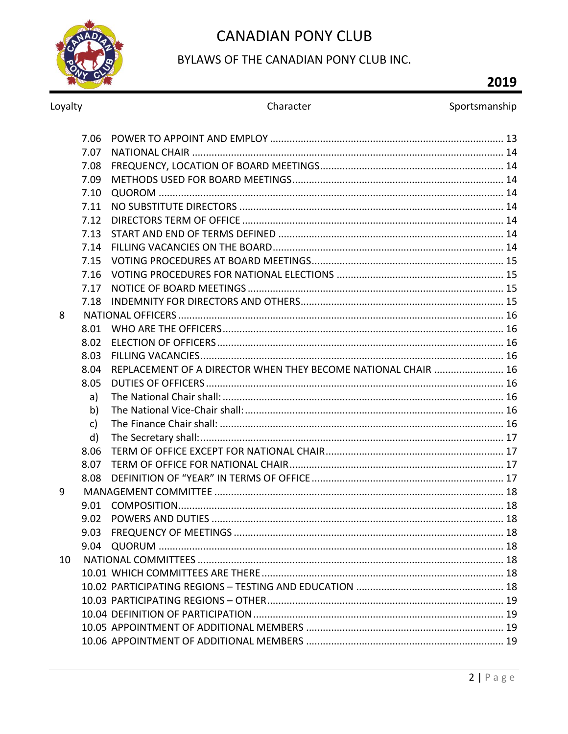

### BYLAWS OF THE CANADIAN PONY CLUB INC.

# 2019

Loyalty

#### Sportsmanship

|    | 7.06 |                                                               |  |
|----|------|---------------------------------------------------------------|--|
|    | 7.07 |                                                               |  |
|    | 7.08 |                                                               |  |
|    | 7.09 |                                                               |  |
|    | 7.10 |                                                               |  |
|    | 7.11 |                                                               |  |
|    | 7.12 |                                                               |  |
|    | 7.13 |                                                               |  |
|    | 7.14 |                                                               |  |
|    | 7.15 |                                                               |  |
|    | 7.16 |                                                               |  |
|    | 7.17 |                                                               |  |
|    | 7.18 |                                                               |  |
| 8  |      |                                                               |  |
|    | 8.01 |                                                               |  |
|    | 8.02 |                                                               |  |
|    | 8.03 |                                                               |  |
|    | 8.04 | REPLACEMENT OF A DIRECTOR WHEN THEY BECOME NATIONAL CHAIR  16 |  |
|    | 8.05 |                                                               |  |
|    | a)   |                                                               |  |
|    | b)   |                                                               |  |
|    | c)   |                                                               |  |
|    | d)   |                                                               |  |
|    | 8.06 |                                                               |  |
|    | 8.07 |                                                               |  |
|    | 8.08 |                                                               |  |
| 9  |      |                                                               |  |
|    | 9.01 |                                                               |  |
|    | 9.02 |                                                               |  |
|    | 9.03 |                                                               |  |
|    | 9.04 |                                                               |  |
| 10 |      |                                                               |  |
|    |      |                                                               |  |
|    |      |                                                               |  |
|    |      |                                                               |  |
|    |      |                                                               |  |
|    |      |                                                               |  |
|    |      |                                                               |  |
|    |      |                                                               |  |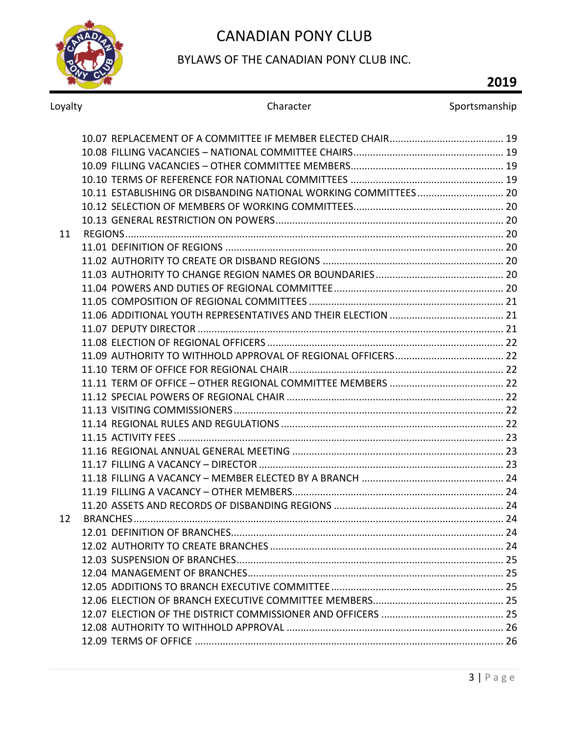

### BYLAWS OF THE CANADIAN PONY CLUB INC.

# **2019**

Loyalty **Character** Character Sportsmanship

|    | 10.11 ESTABLISHING OR DISBANDING NATIONAL WORKING COMMITTEES 20 |  |
|----|-----------------------------------------------------------------|--|
|    |                                                                 |  |
|    |                                                                 |  |
| 11 |                                                                 |  |
|    |                                                                 |  |
|    |                                                                 |  |
|    |                                                                 |  |
|    |                                                                 |  |
|    |                                                                 |  |
|    |                                                                 |  |
|    |                                                                 |  |
|    |                                                                 |  |
|    |                                                                 |  |
|    |                                                                 |  |
|    |                                                                 |  |
|    |                                                                 |  |
|    |                                                                 |  |
|    |                                                                 |  |
|    |                                                                 |  |
|    |                                                                 |  |
|    |                                                                 |  |
|    |                                                                 |  |
|    |                                                                 |  |
|    |                                                                 |  |
| 12 |                                                                 |  |
|    |                                                                 |  |
|    |                                                                 |  |
|    |                                                                 |  |
|    |                                                                 |  |
|    |                                                                 |  |
|    |                                                                 |  |
|    |                                                                 |  |
|    |                                                                 |  |
|    |                                                                 |  |
|    |                                                                 |  |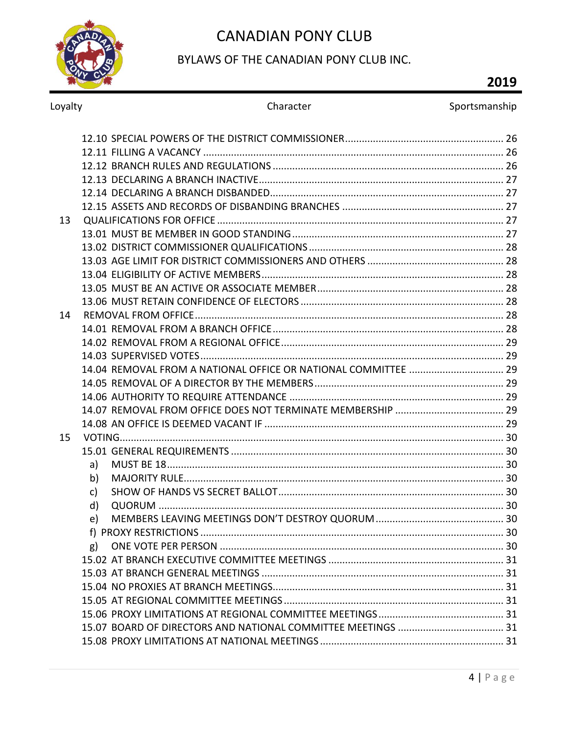

### BYLAWS OF THE CANADIAN PONY CLUB INC.

# 2019

| Loyalty | Character | Sportsmanship |
|---------|-----------|---------------|
|         |           |               |
|         |           |               |
|         |           |               |
|         |           |               |
|         |           |               |
|         |           |               |
| 13      |           |               |
|         |           |               |
|         |           |               |
|         |           |               |
|         |           |               |
|         |           |               |
|         |           |               |
| 14      |           |               |
|         |           |               |
|         |           |               |
|         |           |               |
|         |           |               |
|         |           |               |
|         |           |               |
|         |           |               |
|         |           |               |
| 15      |           |               |
|         |           |               |
|         | a)        |               |
|         | b)        |               |
|         | c)        |               |
|         | d)        |               |
|         | e)        |               |
|         |           |               |
|         | g)        |               |
|         |           |               |
|         |           |               |
|         |           |               |
|         |           |               |
|         |           |               |
|         |           |               |
|         |           |               |
|         |           |               |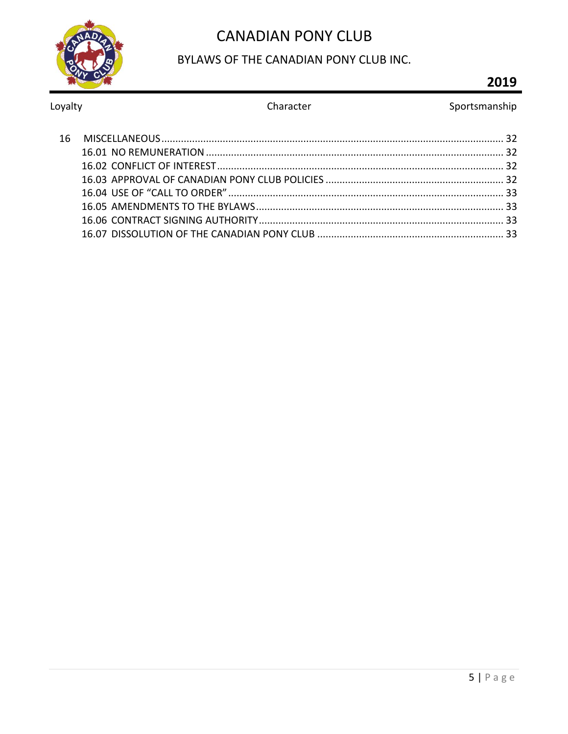

### BYLAWS OF THE CANADIAN PONY CLUB INC.

# 2019

#### Loyalty

#### Character

#### Sportsmanship

| 16. |  |
|-----|--|
|     |  |
|     |  |
|     |  |
|     |  |
|     |  |
|     |  |
|     |  |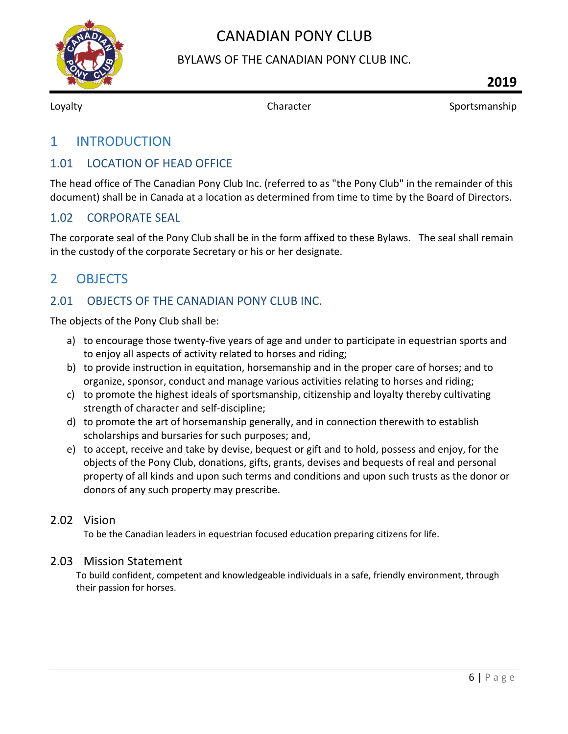

#### BYLAWS OF THE CANADIAN PONY CLUB INC.

<span id="page-6-0"></span>

Loyalty **Sportsmanship** Character **Sportsmanship** 

## 1 INTRODUCTION

#### <span id="page-6-1"></span>1.01 LOCATION OF HEAD OFFICE

The head office of The Canadian Pony Club Inc. (referred to as "the Pony Club" in the remainder of this document) shall be in Canada at a location as determined from time to time by the Board of Directors.

#### <span id="page-6-2"></span>1.02 CORPORATE SEAL

The corporate seal of the Pony Club shall be in the form affixed to these Bylaws. The seal shall remain in the custody of the corporate Secretary or his or her designate.

# <span id="page-6-3"></span>2 OBJECTS

#### <span id="page-6-4"></span>2.01 OBJECTS OF THE CANADIAN PONY CLUB INC.

The objects of the Pony Club shall be:

- a) to encourage those twenty-five years of age and under to participate in equestrian sports and to enjoy all aspects of activity related to horses and riding;
- b) to provide instruction in equitation, horsemanship and in the proper care of horses; and to organize, sponsor, conduct and manage various activities relating to horses and riding;
- c) to promote the highest ideals of sportsmanship, citizenship and loyalty thereby cultivating strength of character and self-discipline;
- d) to promote the art of horsemanship generally, and in connection therewith to establish scholarships and bursaries for such purposes; and,
- e) to accept, receive and take by devise, bequest or gift and to hold, possess and enjoy, for the objects of the Pony Club, donations, gifts, grants, devises and bequests of real and personal property of all kinds and upon such terms and conditions and upon such trusts as the donor or donors of any such property may prescribe.

#### 2.02 Vision

To be the Canadian leaders in equestrian focused education preparing citizens for life.

#### 2.03 Mission Statement

To build confident, competent and knowledgeable individuals in a safe, friendly environment, through their passion for horses.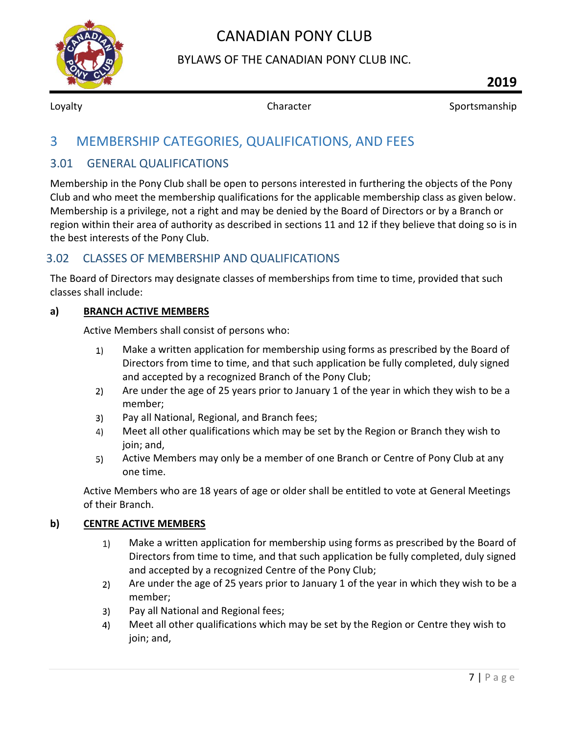

#### BYLAWS OF THE CANADIAN PONY CLUB INC.

**2019**

<span id="page-7-0"></span>

Loyalty **Sportsmanship** Character **Character** Sportsmanship

# 3 MEMBERSHIP CATEGORIES, QUALIFICATIONS, AND FEES

#### <span id="page-7-1"></span>3.01 GENERAL QUALIFICATIONS

Membership in the Pony Club shall be open to persons interested in furthering the objects of the Pony Club and who meet the membership qualifications for the applicable membership class as given below. Membership is a privilege, not a right and may be denied by the Board of Directors or by a Branch or region within their area of authority as described in sections 11 and 12 if they believe that doing so is in the best interests of the Pony Club.

#### <span id="page-7-2"></span>3.02 CLASSES OF MEMBERSHIP AND QUALIFICATIONS

The Board of Directors may designate classes of memberships from time to time, provided that such classes shall include:

#### <span id="page-7-3"></span>**a) BRANCH ACTIVE MEMBERS**

Active Members shall consist of persons who:

- $1)$ Make a written application for membership using forms as prescribed by the Board of Directors from time to time, and that such application be fully completed, duly signed and accepted by a recognized Branch of the Pony Club;
- Are under the age of 25 years prior to January 1 of the year in which they wish to be a  $2)$ member;
- Pay all National, Regional, and Branch fees;  $3)$
- Meet all other qualifications which may be set by the Region or Branch they wish to 4) join; and,
- $5)$ Active Members may only be a member of one Branch or Centre of Pony Club at any one time.

Active Members who are 18 years of age or older shall be entitled to vote at General Meetings of their Branch.

#### **b) CENTRE ACTIVE MEMBERS**

- Make a written application for membership using forms as prescribed by the Board of 1) Directors from time to time, and that such application be fully completed, duly signed and accepted by a recognized Centre of the Pony Club;
- $2)$ Are under the age of 25 years prior to January 1 of the year in which they wish to be a member;
- Pay all National and Regional fees; 3)
- 4) Meet all other qualifications which may be set by the Region or Centre they wish to join; and,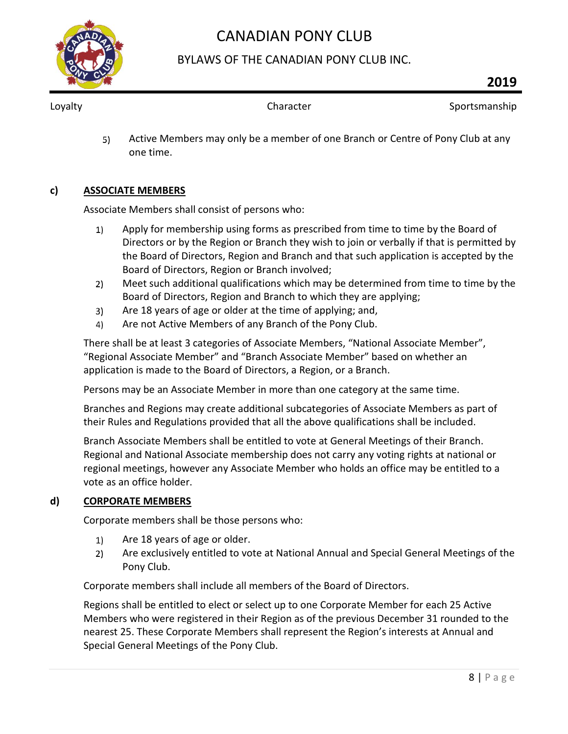

#### BYLAWS OF THE CANADIAN PONY CLUB INC.

Loyalty **Sportsmanship** Character **Character** Sportsmanship

5) Active Members may only be a member of one Branch or Centre of Pony Club at any one time.

#### <span id="page-8-0"></span>**c) ASSOCIATE MEMBERS**

Associate Members shall consist of persons who:

- Apply for membership using forms as prescribed from time to time by the Board of  $1)$ Directors or by the Region or Branch they wish to join or verbally if that is permitted by the Board of Directors, Region and Branch and that such application is accepted by the Board of Directors, Region or Branch involved;
- $2)$ Meet such additional qualifications which may be determined from time to time by the Board of Directors, Region and Branch to which they are applying;
- Are 18 years of age or older at the time of applying; and,  $3)$
- Are not Active Members of any Branch of the Pony Club.  $4)$

There shall be at least 3 categories of Associate Members, "National Associate Member", "Regional Associate Member" and "Branch Associate Member" based on whether an application is made to the Board of Directors, a Region, or a Branch.

Persons may be an Associate Member in more than one category at the same time.

Branches and Regions may create additional subcategories of Associate Members as part of their Rules and Regulations provided that all the above qualifications shall be included.

Branch Associate Members shall be entitled to vote at General Meetings of their Branch. Regional and National Associate membership does not carry any voting rights at national or regional meetings, however any Associate Member who holds an office may be entitled to a vote as an office holder.

#### <span id="page-8-1"></span>**d) CORPORATE MEMBERS**

Corporate members shall be those persons who:

- Are 18 years of age or older.  $1)$
- Are exclusively entitled to vote at National Annual and Special General Meetings of the  $2)$ Pony Club.

Corporate members shall include all members of the Board of Directors.

Regions shall be entitled to elect or select up to one Corporate Member for each 25 Active Members who were registered in their Region as of the previous December 31 rounded to the nearest 25. These Corporate Members shall represent the Region's interests at Annual and Special General Meetings of the Pony Club.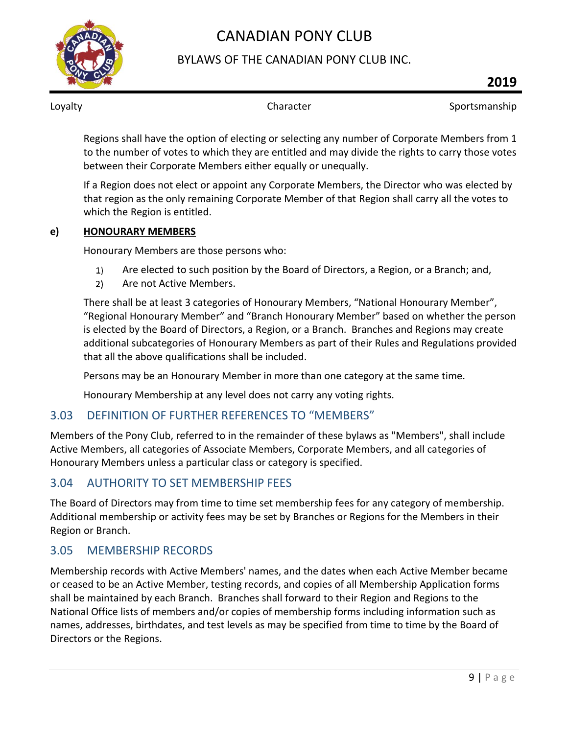

#### BYLAWS OF THE CANADIAN PONY CLUB INC.

Loyalty **Sportsmanship** Character **Sportsmanship** Character Sportsmanship

Regions shall have the option of electing or selecting any number of Corporate Members from 1 to the number of votes to which they are entitled and may divide the rights to carry those votes between their Corporate Members either equally or unequally.

If a Region does not elect or appoint any Corporate Members, the Director who was elected by that region as the only remaining Corporate Member of that Region shall carry all the votes to which the Region is entitled.

#### <span id="page-9-0"></span>**e) HONOURARY MEMBERS**

Honourary Members are those persons who:

- Are elected to such position by the Board of Directors, a Region, or a Branch; and,  $1)$
- Are not Active Members.  $2)$

There shall be at least 3 categories of Honourary Members, "National Honourary Member", "Regional Honourary Member" and "Branch Honourary Member" based on whether the person is elected by the Board of Directors, a Region, or a Branch. Branches and Regions may create additional subcategories of Honourary Members as part of their Rules and Regulations provided that all the above qualifications shall be included.

Persons may be an Honourary Member in more than one category at the same time.

Honourary Membership at any level does not carry any voting rights.

#### <span id="page-9-1"></span>3.03 DEFINITION OF FURTHER REFERENCES TO "MEMBERS"

Members of the Pony Club, referred to in the remainder of these bylaws as "Members", shall include Active Members, all categories of Associate Members, Corporate Members, and all categories of Honourary Members unless a particular class or category is specified.

### <span id="page-9-2"></span>3.04 AUTHORITY TO SET MEMBERSHIP FEES

The Board of Directors may from time to time set membership fees for any category of membership. Additional membership or activity fees may be set by Branches or Regions for the Members in their Region or Branch.

#### <span id="page-9-3"></span>3.05 MEMBERSHIP RECORDS

Membership records with Active Members' names, and the dates when each Active Member became or ceased to be an Active Member, testing records, and copies of all Membership Application forms shall be maintained by each Branch. Branches shall forward to their Region and Regions to the National Office lists of members and/or copies of membership forms including information such as names, addresses, birthdates, and test levels as may be specified from time to time by the Board of Directors or the Regions.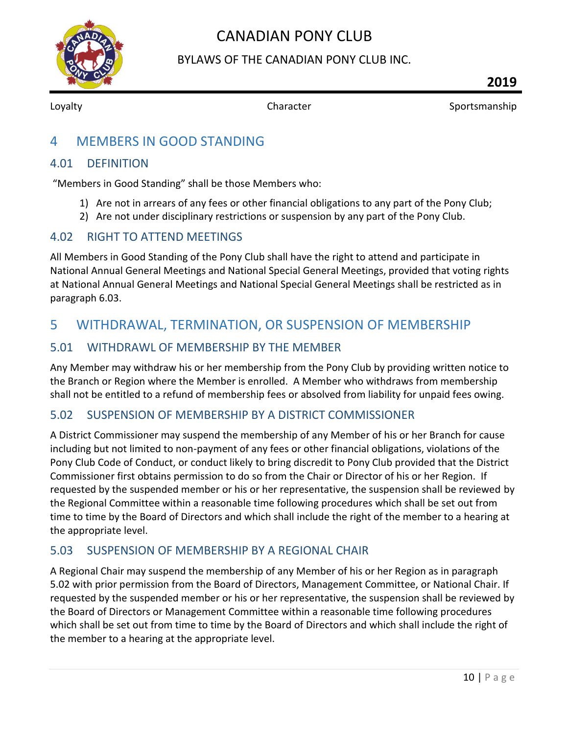

BYLAWS OF THE CANADIAN PONY CLUB INC.

<span id="page-10-0"></span>

Loyalty **Sportsmanship** Character **Sportsmanship** Character Sportsmanship

# 4 MEMBERS IN GOOD STANDING

#### <span id="page-10-1"></span>4.01 DEFINITION

"Members in Good Standing" shall be those Members who:

- 1) Are not in arrears of any fees or other financial obligations to any part of the Pony Club;
- 2) Are not under disciplinary restrictions or suspension by any part of the Pony Club.

#### <span id="page-10-2"></span>4.02 RIGHT TO ATTEND MEETINGS

All Members in Good Standing of the Pony Club shall have the right to attend and participate in National Annual General Meetings and National Special General Meetings, provided that voting rights at National Annual General Meetings and National Special General Meetings shall be restricted as in paragraph 6.03.

# <span id="page-10-3"></span>5 WITHDRAWAL, TERMINATION, OR SUSPENSION OF MEMBERSHIP

#### <span id="page-10-4"></span>5.01 WITHDRAWL OF MEMBERSHIP BY THE MEMBER

Any Member may withdraw his or her membership from the Pony Club by providing written notice to the Branch or Region where the Member is enrolled. A Member who withdraws from membership shall not be entitled to a refund of membership fees or absolved from liability for unpaid fees owing.

#### <span id="page-10-5"></span>5.02 SUSPENSION OF MEMBERSHIP BY A DISTRICT COMMISSIONER

A District Commissioner may suspend the membership of any Member of his or her Branch for cause including but not limited to non-payment of any fees or other financial obligations, violations of the Pony Club Code of Conduct, or conduct likely to bring discredit to Pony Club provided that the District Commissioner first obtains permission to do so from the Chair or Director of his or her Region. If requested by the suspended member or his or her representative, the suspension shall be reviewed by the Regional Committee within a reasonable time following procedures which shall be set out from time to time by the Board of Directors and which shall include the right of the member to a hearing at the appropriate level.

#### <span id="page-10-6"></span>5.03 SUSPENSION OF MEMBERSHIP BY A REGIONAL CHAIR

A Regional Chair may suspend the membership of any Member of his or her Region as in paragraph 5.02 with prior permission from the Board of Directors, Management Committee, or National Chair. If requested by the suspended member or his or her representative, the suspension shall be reviewed by the Board of Directors or Management Committee within a reasonable time following procedures which shall be set out from time to time by the Board of Directors and which shall include the right of the member to a hearing at the appropriate level.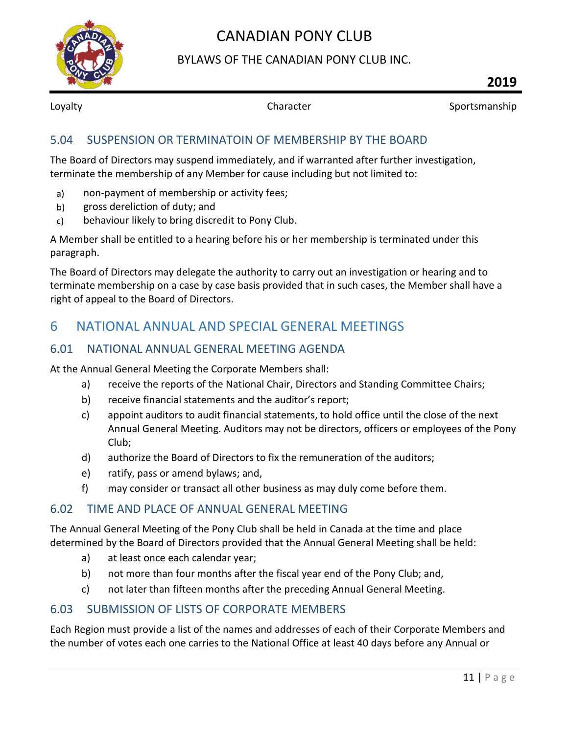

BYLAWS OF THE CANADIAN PONY CLUB INC.

Loyalty **Sportsmanship** Character **Sportsmanship** 

#### <span id="page-11-0"></span>5.04 SUSPENSION OR TERMINATOIN OF MEMBERSHIP BY THE BOARD

The Board of Directors may suspend immediately, and if warranted after further investigation, terminate the membership of any Member for cause including but not limited to:

- non-payment of membership or activity fees;  $a)$
- gross dereliction of duty; and  $b)$
- behaviour likely to bring discredit to Pony Club.  $\mathsf{c}$

A Member shall be entitled to a hearing before his or her membership is terminated under this paragraph.

The Board of Directors may delegate the authority to carry out an investigation or hearing and to terminate membership on a case by case basis provided that in such cases, the Member shall have a right of appeal to the Board of Directors.

# <span id="page-11-1"></span>6 NATIONAL ANNUAL AND SPECIAL GENERAL MEETINGS

#### <span id="page-11-2"></span>6.01 NATIONAL ANNUAL GENERAL MEETING AGENDA

At the Annual General Meeting the Corporate Members shall:

- a) receive the reports of the National Chair, Directors and Standing Committee Chairs;
- b) receive financial statements and the auditor's report;
- c) appoint auditors to audit financial statements, to hold office until the close of the next Annual General Meeting. Auditors may not be directors, officers or employees of the Pony Club;
- d) authorize the Board of Directors to fix the remuneration of the auditors;
- e) ratify, pass or amend bylaws; and,
- f) may consider or transact all other business as may duly come before them.

#### <span id="page-11-3"></span>6.02 TIME AND PLACE OF ANNUAL GENERAL MEETING

The Annual General Meeting of the Pony Club shall be held in Canada at the time and place determined by the Board of Directors provided that the Annual General Meeting shall be held:

- a) at least once each calendar year;
- b) not more than four months after the fiscal year end of the Pony Club; and,
- c) not later than fifteen months after the preceding Annual General Meeting.

#### <span id="page-11-4"></span>6.03 SUBMISSION OF LISTS OF CORPORATE MEMBERS

Each Region must provide a list of the names and addresses of each of their Corporate Members and the number of votes each one carries to the National Office at least 40 days before any Annual or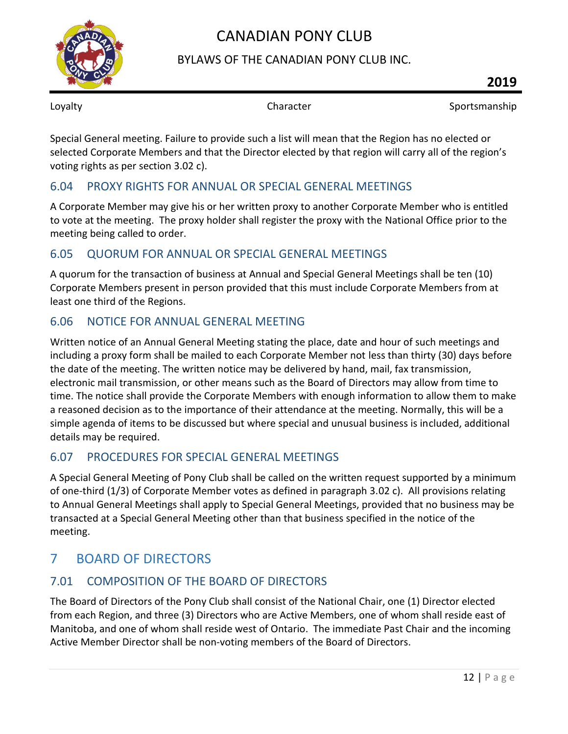

#### BYLAWS OF THE CANADIAN PONY CLUB INC.

Loyalty **Sportsmanship** Character **Sportsmanship** 

Special General meeting. Failure to provide such a list will mean that the Region has no elected or selected Corporate Members and that the Director elected by that region will carry all of the region's voting rights as per section 3.02 c).

### <span id="page-12-0"></span>6.04 PROXY RIGHTS FOR ANNUAL OR SPECIAL GENERAL MEETINGS

A Corporate Member may give his or her written proxy to another Corporate Member who is entitled to vote at the meeting. The proxy holder shall register the proxy with the National Office prior to the meeting being called to order.

### <span id="page-12-1"></span>6.05 QUORUM FOR ANNUAL OR SPECIAL GENERAL MEETINGS

A quorum for the transaction of business at Annual and Special General Meetings shall be ten (10) Corporate Members present in person provided that this must include Corporate Members from at least one third of the Regions.

### <span id="page-12-2"></span>6.06 NOTICE FOR ANNUAL GENERAL MEETING

Written notice of an Annual General Meeting stating the place, date and hour of such meetings and including a proxy form shall be mailed to each Corporate Member not less than thirty (30) days before the date of the meeting. The written notice may be delivered by hand, mail, fax transmission, electronic mail transmission, or other means such as the Board of Directors may allow from time to time. The notice shall provide the Corporate Members with enough information to allow them to make a reasoned decision as to the importance of their attendance at the meeting. Normally, this will be a simple agenda of items to be discussed but where special and unusual business is included, additional details may be required.

### <span id="page-12-3"></span>6.07 PROCEDURES FOR SPECIAL GENERAL MEETINGS

A Special General Meeting of Pony Club shall be called on the written request supported by a minimum of one-third (1/3) of Corporate Member votes as defined in paragraph 3.02 c). All provisions relating to Annual General Meetings shall apply to Special General Meetings, provided that no business may be transacted at a Special General Meeting other than that business specified in the notice of the meeting.

# <span id="page-12-4"></span>7 BOARD OF DIRECTORS

# <span id="page-12-5"></span>7.01 COMPOSITION OF THE BOARD OF DIRECTORS

The Board of Directors of the Pony Club shall consist of the National Chair, one (1) Director elected from each Region, and three (3) Directors who are Active Members, one of whom shall reside east of Manitoba, and one of whom shall reside west of Ontario. The immediate Past Chair and the incoming Active Member Director shall be non-voting members of the Board of Directors.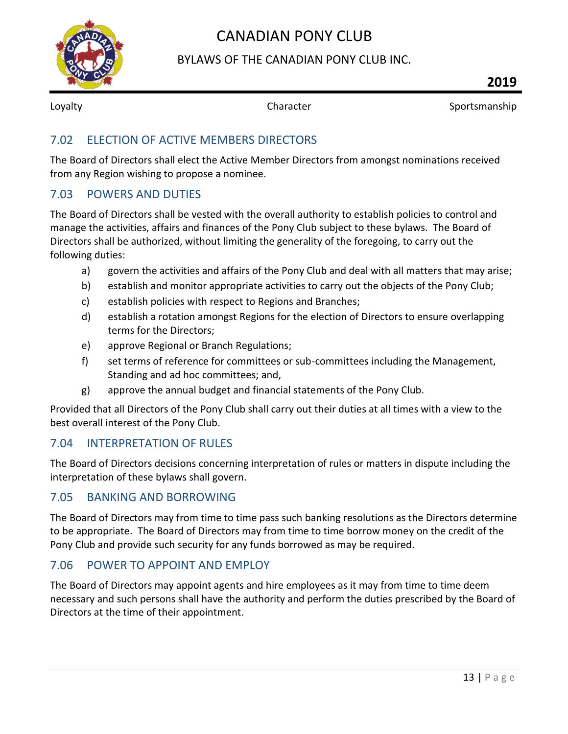

#### BYLAWS OF THE CANADIAN PONY CLUB INC.

Loyalty **Sportsmanship** Character **Character** Sportsmanship

#### <span id="page-13-0"></span>7.02 ELECTION OF ACTIVE MEMBERS DIRECTORS

The Board of Directors shall elect the Active Member Directors from amongst nominations received from any Region wishing to propose a nominee.

#### <span id="page-13-1"></span>7.03 POWERS AND DUTIES

The Board of Directors shall be vested with the overall authority to establish policies to control and manage the activities, affairs and finances of the Pony Club subject to these bylaws. The Board of Directors shall be authorized, without limiting the generality of the foregoing, to carry out the following duties:

- a) govern the activities and affairs of the Pony Club and deal with all matters that may arise;
- b) establish and monitor appropriate activities to carry out the objects of the Pony Club;
- c) establish policies with respect to Regions and Branches;
- d) establish a rotation amongst Regions for the election of Directors to ensure overlapping terms for the Directors;
- e) approve Regional or Branch Regulations;
- f) set terms of reference for committees or sub-committees including the Management, Standing and ad hoc committees; and,
- g) approve the annual budget and financial statements of the Pony Club.

Provided that all Directors of the Pony Club shall carry out their duties at all times with a view to the best overall interest of the Pony Club.

#### <span id="page-13-2"></span>7.04 INTERPRETATION OF RULES

The Board of Directors decisions concerning interpretation of rules or matters in dispute including the interpretation of these bylaws shall govern.

#### <span id="page-13-3"></span>7.05 BANKING AND BORROWING

The Board of Directors may from time to time pass such banking resolutions as the Directors determine to be appropriate. The Board of Directors may from time to time borrow money on the credit of the Pony Club and provide such security for any funds borrowed as may be required.

#### <span id="page-13-4"></span>7.06 POWER TO APPOINT AND EMPLOY

The Board of Directors may appoint agents and hire employees as it may from time to time deem necessary and such persons shall have the authority and perform the duties prescribed by the Board of Directors at the time of their appointment.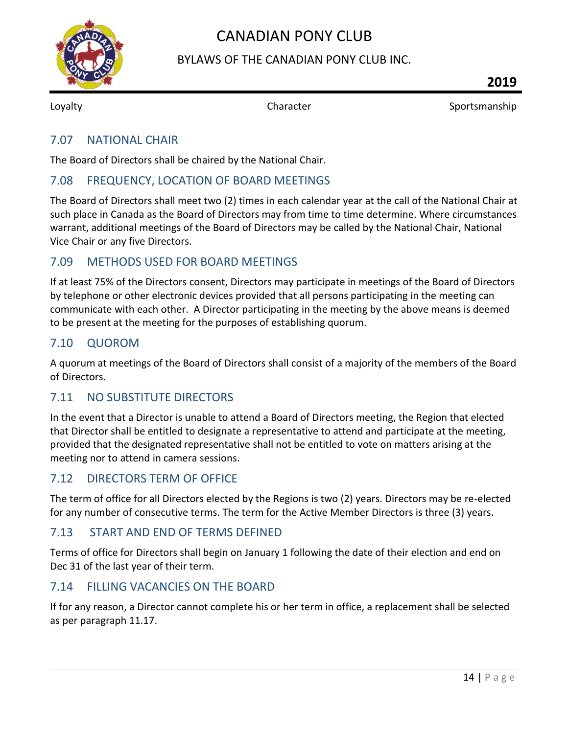

### BYLAWS OF THE CANADIAN PONY CLUB INC.

Loyalty **Sportsmanship** Character **Sportsmanship** 

#### <span id="page-14-0"></span>7.07 NATIONAL CHAIR

The Board of Directors shall be chaired by the National Chair.

#### <span id="page-14-1"></span>7.08 FREQUENCY, LOCATION OF BOARD MEETINGS

The Board of Directors shall meet two (2) times in each calendar year at the call of the National Chair at such place in Canada as the Board of Directors may from time to time determine. Where circumstances warrant, additional meetings of the Board of Directors may be called by the National Chair, National Vice Chair or any five Directors.

#### <span id="page-14-2"></span>7.09 METHODS USED FOR BOARD MEETINGS

If at least 75% of the Directors consent, Directors may participate in meetings of the Board of Directors by telephone or other electronic devices provided that all persons participating in the meeting can communicate with each other. A Director participating in the meeting by the above means is deemed to be present at the meeting for the purposes of establishing quorum.

#### <span id="page-14-3"></span>7.10 QUOROM

A quorum at meetings of the Board of Directors shall consist of a majority of the members of the Board of Directors.

#### <span id="page-14-4"></span>7.11 NO SUBSTITUTE DIRECTORS

In the event that a Director is unable to attend a Board of Directors meeting, the Region that elected that Director shall be entitled to designate a representative to attend and participate at the meeting, provided that the designated representative shall not be entitled to vote on matters arising at the meeting nor to attend in camera sessions.

#### <span id="page-14-5"></span>7.12 DIRECTORS TERM OF OFFICE

The term of office for all Directors elected by the Regions is two (2) years. Directors may be re-elected for any number of consecutive terms. The term for the Active Member Directors is three (3) years.

#### <span id="page-14-6"></span>7.13 START AND END OF TERMS DEFINED

Terms of office for Directors shall begin on January 1 following the date of their election and end on Dec 31 of the last year of their term.

#### <span id="page-14-7"></span>7.14 FILLING VACANCIES ON THE BOARD

If for any reason, a Director cannot complete his or her term in office, a replacement shall be selected as per paragraph 11.17.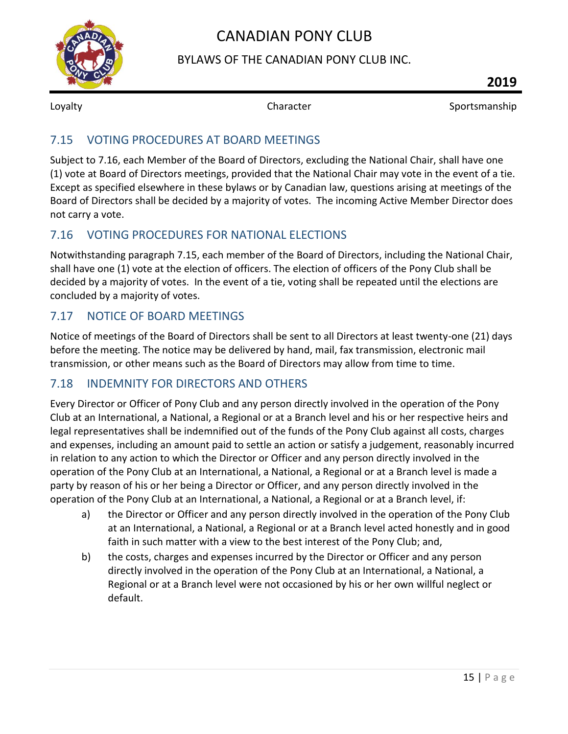

### BYLAWS OF THE CANADIAN PONY CLUB INC.

Loyalty **Sportsmanship** Character **Sportsmanship** 

### <span id="page-15-0"></span>7.15 VOTING PROCEDURES AT BOARD MEETINGS

Subject to 7.16, each Member of the Board of Directors, excluding the National Chair, shall have one (1) vote at Board of Directors meetings, provided that the National Chair may vote in the event of a tie. Except as specified elsewhere in these bylaws or by Canadian law, questions arising at meetings of the Board of Directors shall be decided by a majority of votes. The incoming Active Member Director does not carry a vote.

### <span id="page-15-1"></span>7.16 VOTING PROCEDURES FOR NATIONAL ELECTIONS

Notwithstanding paragraph 7.15, each member of the Board of Directors, including the National Chair, shall have one (1) vote at the election of officers. The election of officers of the Pony Club shall be decided by a majority of votes. In the event of a tie, voting shall be repeated until the elections are concluded by a majority of votes.

### <span id="page-15-2"></span>7.17 NOTICE OF BOARD MEETINGS

Notice of meetings of the Board of Directors shall be sent to all Directors at least twenty-one (21) days before the meeting. The notice may be delivered by hand, mail, fax transmission, electronic mail transmission, or other means such as the Board of Directors may allow from time to time.

### <span id="page-15-3"></span>7.18 INDEMNITY FOR DIRECTORS AND OTHERS

Every Director or Officer of Pony Club and any person directly involved in the operation of the Pony Club at an International, a National, a Regional or at a Branch level and his or her respective heirs and legal representatives shall be indemnified out of the funds of the Pony Club against all costs, charges and expenses, including an amount paid to settle an action or satisfy a judgement, reasonably incurred in relation to any action to which the Director or Officer and any person directly involved in the operation of the Pony Club at an International, a National, a Regional or at a Branch level is made a party by reason of his or her being a Director or Officer, and any person directly involved in the operation of the Pony Club at an International, a National, a Regional or at a Branch level, if:

- a) the Director or Officer and any person directly involved in the operation of the Pony Club at an International, a National, a Regional or at a Branch level acted honestly and in good faith in such matter with a view to the best interest of the Pony Club; and,
- b) the costs, charges and expenses incurred by the Director or Officer and any person directly involved in the operation of the Pony Club at an International, a National, a Regional or at a Branch level were not occasioned by his or her own willful neglect or default.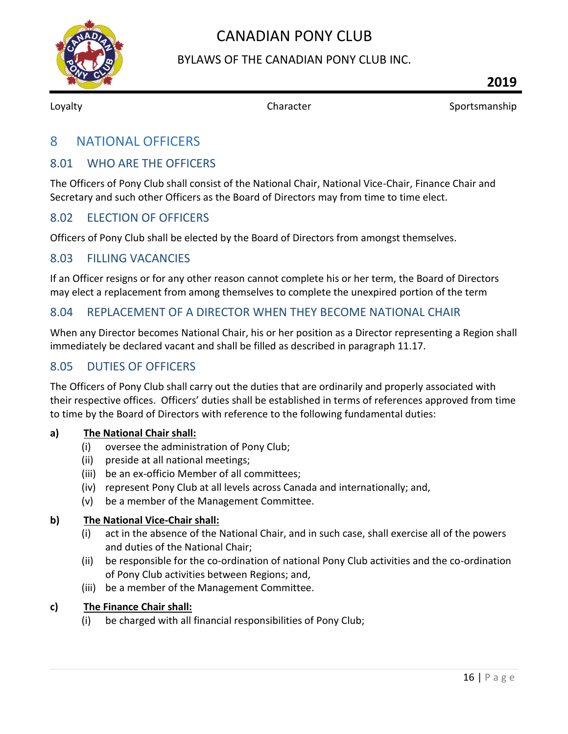

#### BYLAWS OF THE CANADIAN PONY CLUB INC.

<span id="page-16-0"></span>

Loyalty **Sportsmanship** Character **Sportsmanship** 

### 8 NATIONAL OFFICERS

#### <span id="page-16-1"></span>8.01 WHO ARE THE OFFICERS

The Officers of Pony Club shall consist of the National Chair, National Vice-Chair, Finance Chair and Secretary and such other Officers as the Board of Directors may from time to time elect.

#### <span id="page-16-2"></span>8.02 ELECTION OF OFFICERS

Officers of Pony Club shall be elected by the Board of Directors from amongst themselves.

#### <span id="page-16-3"></span>8.03 FILLING VACANCIES

If an Officer resigns or for any other reason cannot complete his or her term, the Board of Directors may elect a replacement from among themselves to complete the unexpired portion of the term

#### <span id="page-16-4"></span>8.04 REPLACEMENT OF A DIRECTOR WHEN THEY BECOME NATIONAL CHAIR

When any Director becomes National Chair, his or her position as a Director representing a Region shall immediately be declared vacant and shall be filled as described in paragraph 11.17.

#### <span id="page-16-5"></span>8.05 DUTIES OF OFFICERS

The Officers of Pony Club shall carry out the duties that are ordinarily and properly associated with their respective offices. Officers' duties shall be established in terms of references approved from time to time by the Board of Directors with reference to the following fundamental duties:

#### <span id="page-16-6"></span>**a) The National Chair shall:**

- (i) oversee the administration of Pony Club;
- (ii) preside at all national meetings;
- (iii) be an ex-officio Member of all committees;
- (iv) represent Pony Club at all levels across Canada and internationally; and,
- (v) be a member of the Management Committee.

#### <span id="page-16-7"></span>**b) The National Vice-Chair shall:**

- (i) act in the absence of the National Chair, and in such case, shall exercise all of the powers and duties of the National Chair;
- (ii) be responsible for the co-ordination of national Pony Club activities and the co-ordination of Pony Club activities between Regions; and,
- (iii) be a member of the Management Committee.

#### <span id="page-16-8"></span>**c) The Finance Chair shall:**

(i) be charged with all financial responsibilities of Pony Club;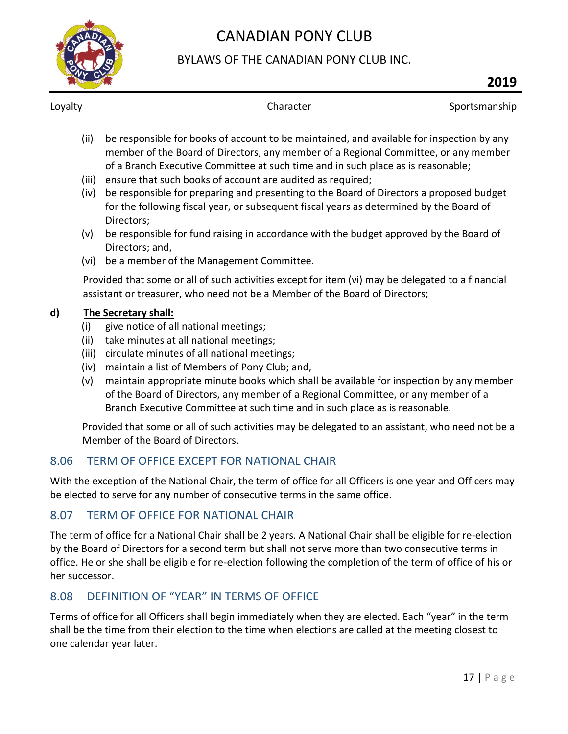

### BYLAWS OF THE CANADIAN PONY CLUB INC.

Loyalty **Sportsmanship** Character **Character** Sportsmanship

- (ii) be responsible for books of account to be maintained, and available for inspection by any member of the Board of Directors, any member of a Regional Committee, or any member of a Branch Executive Committee at such time and in such place as is reasonable;
- (iii) ensure that such books of account are audited as required;
- (iv) be responsible for preparing and presenting to the Board of Directors a proposed budget for the following fiscal year, or subsequent fiscal years as determined by the Board of Directors;
- (v) be responsible for fund raising in accordance with the budget approved by the Board of Directors; and,
- (vi) be a member of the Management Committee.

Provided that some or all of such activities except for item (vi) may be delegated to a financial assistant or treasurer, who need not be a Member of the Board of Directors;

#### <span id="page-17-0"></span>**d) The Secretary shall:**

- (i) give notice of all national meetings;
- (ii) take minutes at all national meetings;
- (iii) circulate minutes of all national meetings;
- (iv) maintain a list of Members of Pony Club; and,
- (v) maintain appropriate minute books which shall be available for inspection by any member of the Board of Directors, any member of a Regional Committee, or any member of a Branch Executive Committee at such time and in such place as is reasonable.

Provided that some or all of such activities may be delegated to an assistant, who need not be a Member of the Board of Directors.

### <span id="page-17-1"></span>8.06 TERM OF OFFICE EXCEPT FOR NATIONAL CHAIR

With the exception of the National Chair, the term of office for all Officers is one year and Officers may be elected to serve for any number of consecutive terms in the same office.

#### <span id="page-17-2"></span>8.07 TERM OF OFFICE FOR NATIONAL CHAIR

The term of office for a National Chair shall be 2 years. A National Chair shall be eligible for re-election by the Board of Directors for a second term but shall not serve more than two consecutive terms in office. He or she shall be eligible for re-election following the completion of the term of office of his or her successor.

### <span id="page-17-3"></span>8.08 DEFINITION OF "YEAR" IN TERMS OF OFFICE

Terms of office for all Officers shall begin immediately when they are elected. Each "year" in the term shall be the time from their election to the time when elections are called at the meeting closest to one calendar year later.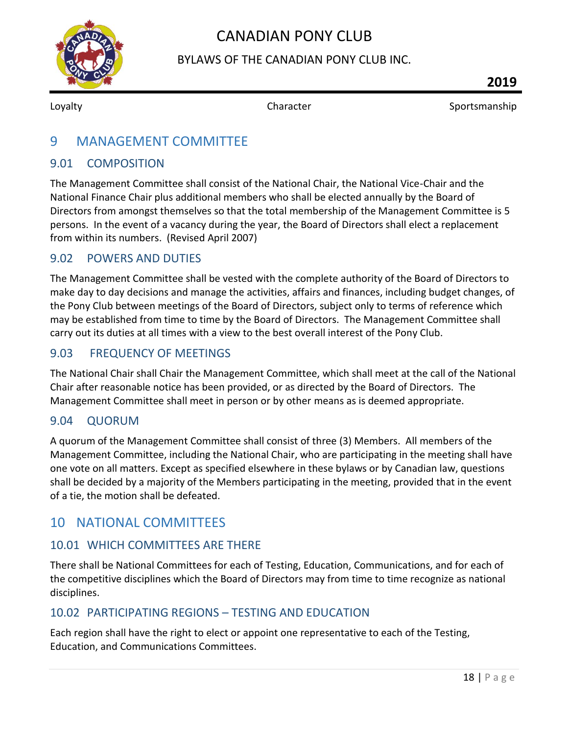

BYLAWS OF THE CANADIAN PONY CLUB INC.

<span id="page-18-0"></span>

Loyalty **Sportsmanship** Character **Sportsmanship** Character Sportsmanship

### 9 MANAGEMENT COMMITTEE

#### <span id="page-18-1"></span>9.01 COMPOSITION

The Management Committee shall consist of the National Chair, the National Vice-Chair and the National Finance Chair plus additional members who shall be elected annually by the Board of Directors from amongst themselves so that the total membership of the Management Committee is 5 persons. In the event of a vacancy during the year, the Board of Directors shall elect a replacement from within its numbers. (Revised April 2007)

#### <span id="page-18-2"></span>9.02 POWERS AND DUTIES

The Management Committee shall be vested with the complete authority of the Board of Directors to make day to day decisions and manage the activities, affairs and finances, including budget changes, of the Pony Club between meetings of the Board of Directors, subject only to terms of reference which may be established from time to time by the Board of Directors. The Management Committee shall carry out its duties at all times with a view to the best overall interest of the Pony Club.

#### <span id="page-18-3"></span>9.03 FREQUENCY OF MEETINGS

The National Chair shall Chair the Management Committee, which shall meet at the call of the National Chair after reasonable notice has been provided, or as directed by the Board of Directors. The Management Committee shall meet in person or by other means as is deemed appropriate.

#### <span id="page-18-4"></span>9.04 QUORUM

A quorum of the Management Committee shall consist of three (3) Members. All members of the Management Committee, including the National Chair, who are participating in the meeting shall have one vote on all matters. Except as specified elsewhere in these bylaws or by Canadian law, questions shall be decided by a majority of the Members participating in the meeting, provided that in the event of a tie, the motion shall be defeated.

### <span id="page-18-5"></span>10 NATIONAL COMMITTEES

#### <span id="page-18-6"></span>10.01 WHICH COMMITTEES ARE THERE

There shall be National Committees for each of Testing, Education, Communications, and for each of the competitive disciplines which the Board of Directors may from time to time recognize as national disciplines.

#### <span id="page-18-7"></span>10.02 PARTICIPATING REGIONS – TESTING AND EDUCATION

Each region shall have the right to elect or appoint one representative to each of the Testing, Education, and Communications Committees.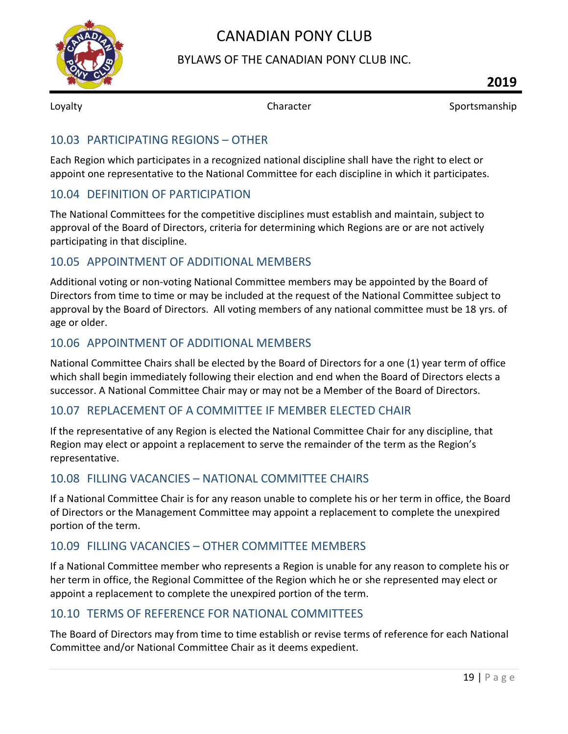

#### BYLAWS OF THE CANADIAN PONY CLUB INC.

Loyalty **Sportsmanship** Character **Sportsmanship** Character Sportsmanship

#### <span id="page-19-0"></span>10.03 PARTICIPATING REGIONS – OTHER

Each Region which participates in a recognized national discipline shall have the right to elect or appoint one representative to the National Committee for each discipline in which it participates.

#### <span id="page-19-1"></span>10.04 DEFINITION OF PARTICIPATION

The National Committees for the competitive disciplines must establish and maintain, subject to approval of the Board of Directors, criteria for determining which Regions are or are not actively participating in that discipline.

#### <span id="page-19-2"></span>10.05 APPOINTMENT OF ADDITIONAL MEMBERS

Additional voting or non-voting National Committee members may be appointed by the Board of Directors from time to time or may be included at the request of the National Committee subject to approval by the Board of Directors. All voting members of any national committee must be 18 yrs. of age or older.

#### <span id="page-19-3"></span>10.06 APPOINTMENT OF ADDITIONAL MEMBERS

National Committee Chairs shall be elected by the Board of Directors for a one (1) year term of office which shall begin immediately following their election and end when the Board of Directors elects a successor. A National Committee Chair may or may not be a Member of the Board of Directors.

#### <span id="page-19-4"></span>10.07 REPLACEMENT OF A COMMITTEE IF MEMBER ELECTED CHAIR

If the representative of any Region is elected the National Committee Chair for any discipline, that Region may elect or appoint a replacement to serve the remainder of the term as the Region's representative.

#### <span id="page-19-5"></span>10.08 FILLING VACANCIES – NATIONAL COMMITTEE CHAIRS

If a National Committee Chair is for any reason unable to complete his or her term in office, the Board of Directors or the Management Committee may appoint a replacement to complete the unexpired portion of the term.

#### <span id="page-19-6"></span>10.09 FILLING VACANCIES – OTHER COMMITTEE MEMBERS

If a National Committee member who represents a Region is unable for any reason to complete his or her term in office, the Regional Committee of the Region which he or she represented may elect or appoint a replacement to complete the unexpired portion of the term.

#### <span id="page-19-7"></span>10.10 TERMS OF REFERENCE FOR NATIONAL COMMITTEES

The Board of Directors may from time to time establish or revise terms of reference for each National Committee and/or National Committee Chair as it deems expedient.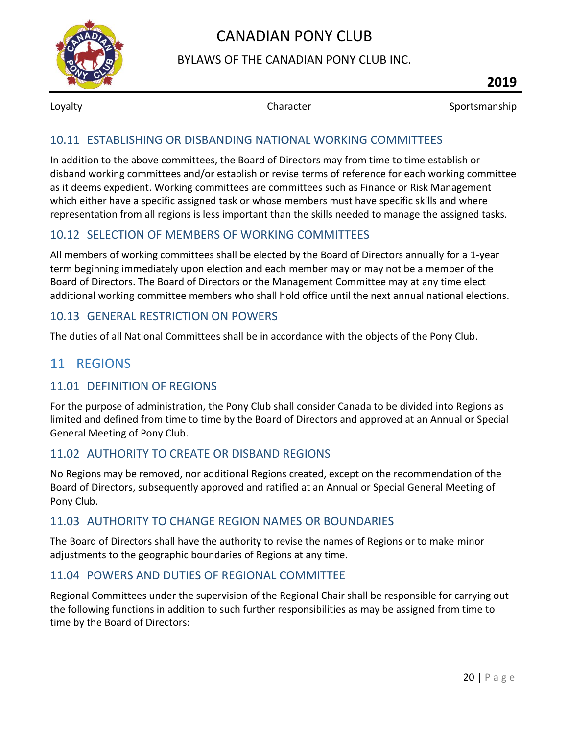

#### BYLAWS OF THE CANADIAN PONY CLUB INC.

Loyalty **Sportsmanship** Character **Sportsmanship** Character Sportsmanship

#### <span id="page-20-0"></span>10.11 ESTABLISHING OR DISBANDING NATIONAL WORKING COMMITTEES

In addition to the above committees, the Board of Directors may from time to time establish or disband working committees and/or establish or revise terms of reference for each working committee as it deems expedient. Working committees are committees such as Finance or Risk Management which either have a specific assigned task or whose members must have specific skills and where representation from all regions is less important than the skills needed to manage the assigned tasks.

#### <span id="page-20-1"></span>10.12 SELECTION OF MEMBERS OF WORKING COMMITTEES

All members of working committees shall be elected by the Board of Directors annually for a 1-year term beginning immediately upon election and each member may or may not be a member of the Board of Directors. The Board of Directors or the Management Committee may at any time elect additional working committee members who shall hold office until the next annual national elections.

#### <span id="page-20-2"></span>10.13 GENERAL RESTRICTION ON POWERS

<span id="page-20-3"></span>The duties of all National Committees shall be in accordance with the objects of the Pony Club.

### 11 REGIONS

#### <span id="page-20-4"></span>11.01 DEFINITION OF REGIONS

For the purpose of administration, the Pony Club shall consider Canada to be divided into Regions as limited and defined from time to time by the Board of Directors and approved at an Annual or Special General Meeting of Pony Club.

#### <span id="page-20-5"></span>11.02 AUTHORITY TO CREATE OR DISBAND REGIONS

No Regions may be removed, nor additional Regions created, except on the recommendation of the Board of Directors, subsequently approved and ratified at an Annual or Special General Meeting of Pony Club.

#### <span id="page-20-6"></span>11.03 AUTHORITY TO CHANGE REGION NAMES OR BOUNDARIES

The Board of Directors shall have the authority to revise the names of Regions or to make minor adjustments to the geographic boundaries of Regions at any time.

#### <span id="page-20-7"></span>11.04 POWERS AND DUTIES OF REGIONAL COMMITTEE

Regional Committees under the supervision of the Regional Chair shall be responsible for carrying out the following functions in addition to such further responsibilities as may be assigned from time to time by the Board of Directors: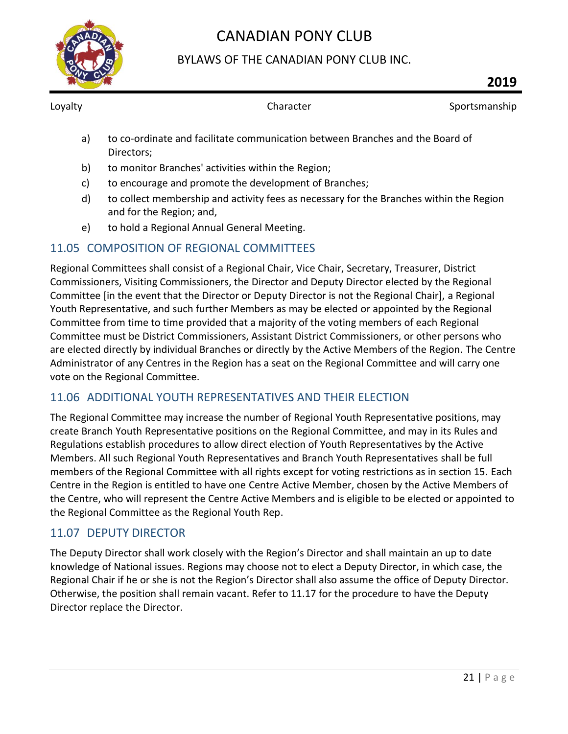

### BYLAWS OF THE CANADIAN PONY CLUB INC.

Loyalty **Sportsmanship** Character **Sportsmanship** 

- a) to co-ordinate and facilitate communication between Branches and the Board of Directors;
- b) to monitor Branches' activities within the Region;
- c) to encourage and promote the development of Branches;
- d) to collect membership and activity fees as necessary for the Branches within the Region and for the Region; and,
- e) to hold a Regional Annual General Meeting.

### <span id="page-21-0"></span>11.05 COMPOSITION OF REGIONAL COMMITTEES

Regional Committees shall consist of a Regional Chair, Vice Chair, Secretary, Treasurer, District Commissioners, Visiting Commissioners, the Director and Deputy Director elected by the Regional Committee [in the event that the Director or Deputy Director is not the Regional Chair], a Regional Youth Representative, and such further Members as may be elected or appointed by the Regional Committee from time to time provided that a majority of the voting members of each Regional Committee must be District Commissioners, Assistant District Commissioners, or other persons who are elected directly by individual Branches or directly by the Active Members of the Region. The Centre Administrator of any Centres in the Region has a seat on the Regional Committee and will carry one vote on the Regional Committee.

### <span id="page-21-1"></span>11.06 ADDITIONAL YOUTH REPRESENTATIVES AND THEIR ELECTION

The Regional Committee may increase the number of Regional Youth Representative positions, may create Branch Youth Representative positions on the Regional Committee, and may in its Rules and Regulations establish procedures to allow direct election of Youth Representatives by the Active Members. All such Regional Youth Representatives and Branch Youth Representatives shall be full members of the Regional Committee with all rights except for voting restrictions as in section 15. Each Centre in the Region is entitled to have one Centre Active Member, chosen by the Active Members of the Centre, who will represent the Centre Active Members and is eligible to be elected or appointed to the Regional Committee as the Regional Youth Rep.

#### <span id="page-21-2"></span>11.07 DEPUTY DIRECTOR

The Deputy Director shall work closely with the Region's Director and shall maintain an up to date knowledge of National issues. Regions may choose not to elect a Deputy Director, in which case, the Regional Chair if he or she is not the Region's Director shall also assume the office of Deputy Director. Otherwise, the position shall remain vacant. Refer to 11.17 for the procedure to have the Deputy Director replace the Director.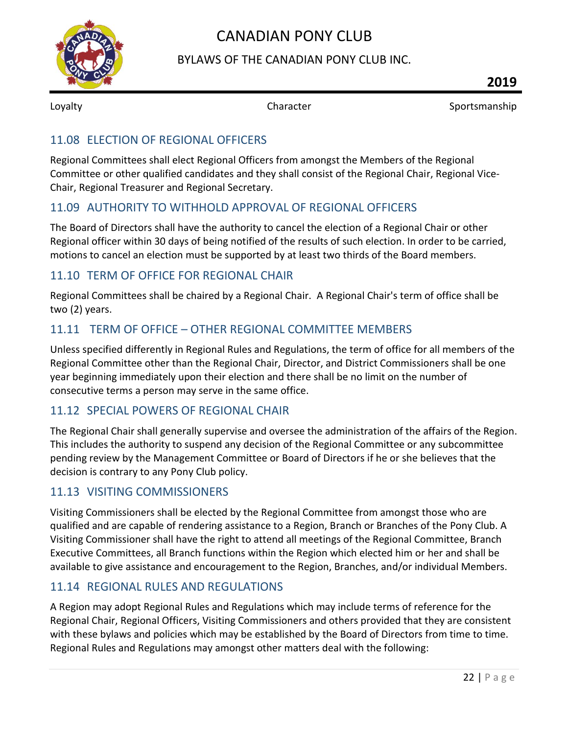

#### BYLAWS OF THE CANADIAN PONY CLUB INC.

Loyalty **Sportsmanship** Character **Sportsmanship** Character Sportsmanship

#### <span id="page-22-0"></span>11.08 ELECTION OF REGIONAL OFFICERS

Regional Committees shall elect Regional Officers from amongst the Members of the Regional Committee or other qualified candidates and they shall consist of the Regional Chair, Regional Vice-Chair, Regional Treasurer and Regional Secretary.

#### <span id="page-22-1"></span>11.09 AUTHORITY TO WITHHOLD APPROVAL OF REGIONAL OFFICERS

The Board of Directors shall have the authority to cancel the election of a Regional Chair or other Regional officer within 30 days of being notified of the results of such election. In order to be carried, motions to cancel an election must be supported by at least two thirds of the Board members.

#### <span id="page-22-2"></span>11.10 TERM OF OFFICE FOR REGIONAL CHAIR

Regional Committees shall be chaired by a Regional Chair. A Regional Chair's term of office shall be two (2) years.

#### <span id="page-22-3"></span>11.11 TERM OF OFFICE – OTHER REGIONAL COMMITTEE MEMBERS

Unless specified differently in Regional Rules and Regulations, the term of office for all members of the Regional Committee other than the Regional Chair, Director, and District Commissioners shall be one year beginning immediately upon their election and there shall be no limit on the number of consecutive terms a person may serve in the same office.

#### <span id="page-22-4"></span>11.12 SPECIAL POWERS OF REGIONAL CHAIR

The Regional Chair shall generally supervise and oversee the administration of the affairs of the Region. This includes the authority to suspend any decision of the Regional Committee or any subcommittee pending review by the Management Committee or Board of Directors if he or she believes that the decision is contrary to any Pony Club policy.

#### <span id="page-22-5"></span>11.13 VISITING COMMISSIONERS

Visiting Commissioners shall be elected by the Regional Committee from amongst those who are qualified and are capable of rendering assistance to a Region, Branch or Branches of the Pony Club. A Visiting Commissioner shall have the right to attend all meetings of the Regional Committee, Branch Executive Committees, all Branch functions within the Region which elected him or her and shall be available to give assistance and encouragement to the Region, Branches, and/or individual Members.

#### <span id="page-22-6"></span>11.14 REGIONAL RULES AND REGULATIONS

A Region may adopt Regional Rules and Regulations which may include terms of reference for the Regional Chair, Regional Officers, Visiting Commissioners and others provided that they are consistent with these bylaws and policies which may be established by the Board of Directors from time to time. Regional Rules and Regulations may amongst other matters deal with the following: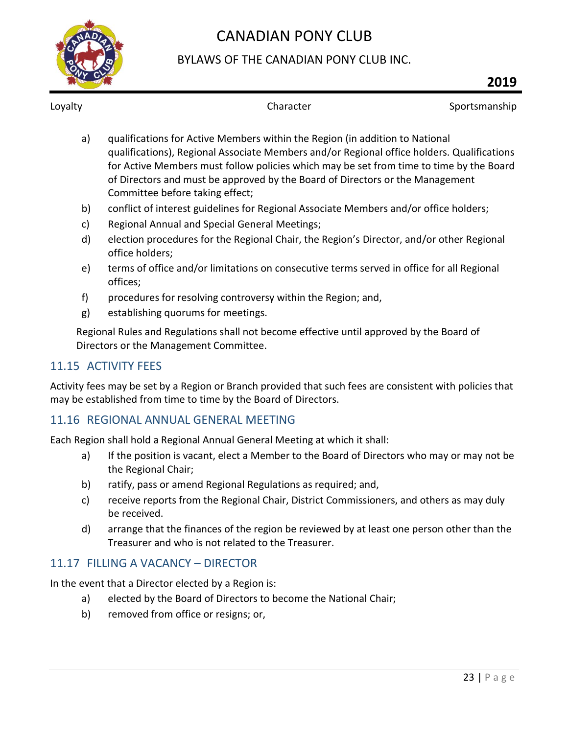

### BYLAWS OF THE CANADIAN PONY CLUB INC.

Loyalty **Sportsmanship** Character **Character** Sportsmanship

- a) qualifications for Active Members within the Region (in addition to National qualifications), Regional Associate Members and/or Regional office holders. Qualifications for Active Members must follow policies which may be set from time to time by the Board of Directors and must be approved by the Board of Directors or the Management Committee before taking effect;
- b) conflict of interest guidelines for Regional Associate Members and/or office holders;
- c) Regional Annual and Special General Meetings;
- d) election procedures for the Regional Chair, the Region's Director, and/or other Regional office holders;
- e) terms of office and/or limitations on consecutive terms served in office for all Regional offices;
- f) procedures for resolving controversy within the Region; and,
- g) establishing quorums for meetings.

Regional Rules and Regulations shall not become effective until approved by the Board of Directors or the Management Committee.

#### <span id="page-23-0"></span>11.15 ACTIVITY FEES

Activity fees may be set by a Region or Branch provided that such fees are consistent with policies that may be established from time to time by the Board of Directors.

### <span id="page-23-1"></span>11.16 REGIONAL ANNUAL GENERAL MEETING

Each Region shall hold a Regional Annual General Meeting at which it shall:

- a) If the position is vacant, elect a Member to the Board of Directors who may or may not be the Regional Chair;
- b) ratify, pass or amend Regional Regulations as required; and,
- c) receive reports from the Regional Chair, District Commissioners, and others as may duly be received.
- d) arrange that the finances of the region be reviewed by at least one person other than the Treasurer and who is not related to the Treasurer.

#### <span id="page-23-2"></span>11.17 FILLING A VACANCY – DIRECTOR

In the event that a Director elected by a Region is:

- a) elected by the Board of Directors to become the National Chair;
- b) removed from office or resigns; or,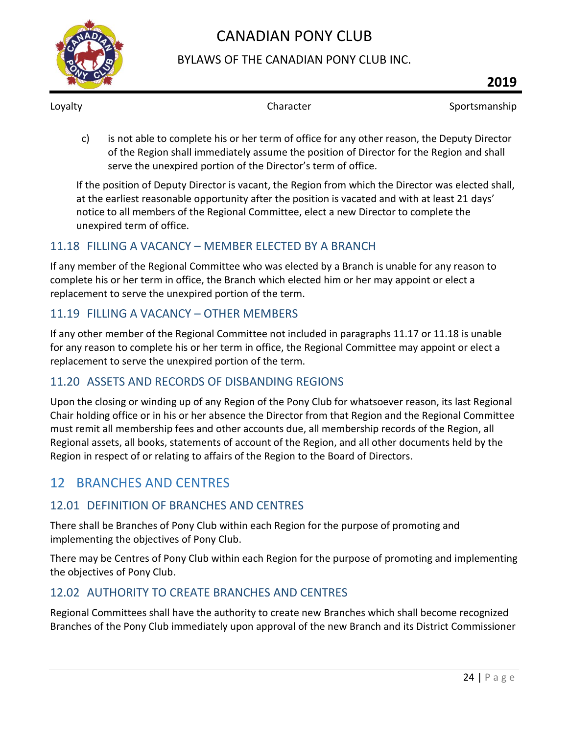

### BYLAWS OF THE CANADIAN PONY CLUB INC.

Loyalty **Sportsmanship** Character **Sportsmanship** Character Sportsmanship

c) is not able to complete his or her term of office for any other reason, the Deputy Director of the Region shall immediately assume the position of Director for the Region and shall serve the unexpired portion of the Director's term of office.

If the position of Deputy Director is vacant, the Region from which the Director was elected shall, at the earliest reasonable opportunity after the position is vacated and with at least 21 days' notice to all members of the Regional Committee, elect a new Director to complete the unexpired term of office.

### <span id="page-24-0"></span>11.18 FILLING A VACANCY – MEMBER ELECTED BY A BRANCH

If any member of the Regional Committee who was elected by a Branch is unable for any reason to complete his or her term in office, the Branch which elected him or her may appoint or elect a replacement to serve the unexpired portion of the term.

### <span id="page-24-1"></span>11.19 FILLING A VACANCY – OTHER MEMBERS

If any other member of the Regional Committee not included in paragraphs 11.17 or 11.18 is unable for any reason to complete his or her term in office, the Regional Committee may appoint or elect a replacement to serve the unexpired portion of the term.

### <span id="page-24-2"></span>11.20 ASSETS AND RECORDS OF DISBANDING REGIONS

Upon the closing or winding up of any Region of the Pony Club for whatsoever reason, its last Regional Chair holding office or in his or her absence the Director from that Region and the Regional Committee must remit all membership fees and other accounts due, all membership records of the Region, all Regional assets, all books, statements of account of the Region, and all other documents held by the Region in respect of or relating to affairs of the Region to the Board of Directors.

# <span id="page-24-3"></span>12 BRANCHES AND CENTRES

### <span id="page-24-4"></span>12.01 DEFINITION OF BRANCHES AND CENTRES

There shall be Branches of Pony Club within each Region for the purpose of promoting and implementing the objectives of Pony Club.

There may be Centres of Pony Club within each Region for the purpose of promoting and implementing the objectives of Pony Club.

### <span id="page-24-5"></span>12.02 AUTHORITY TO CREATE BRANCHES AND CENTRES

Regional Committees shall have the authority to create new Branches which shall become recognized Branches of the Pony Club immediately upon approval of the new Branch and its District Commissioner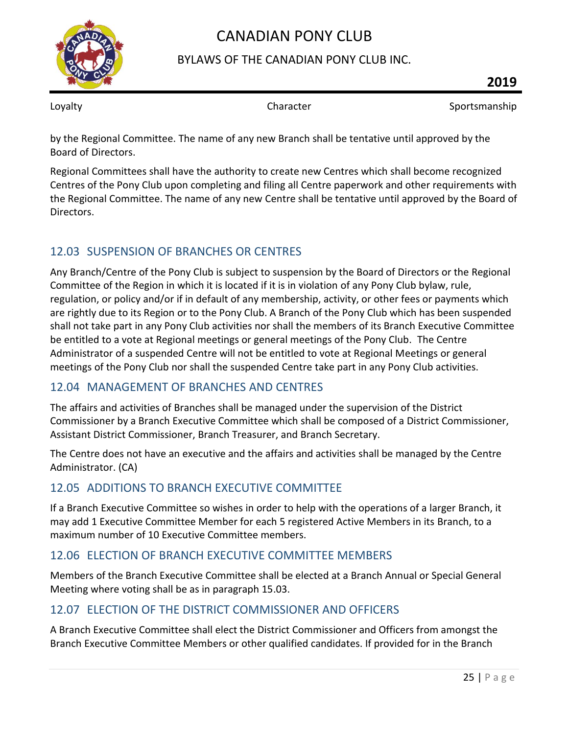

### BYLAWS OF THE CANADIAN PONY CLUB INC.

Loyalty **Sportsmanship** Character **Sportsmanship** Character Sportsmanship

by the Regional Committee. The name of any new Branch shall be tentative until approved by the Board of Directors.

Regional Committees shall have the authority to create new Centres which shall become recognized Centres of the Pony Club upon completing and filing all Centre paperwork and other requirements with the Regional Committee. The name of any new Centre shall be tentative until approved by the Board of Directors.

### <span id="page-25-0"></span>12.03 SUSPENSION OF BRANCHES OR CENTRES

Any Branch/Centre of the Pony Club is subject to suspension by the Board of Directors or the Regional Committee of the Region in which it is located if it is in violation of any Pony Club bylaw, rule, regulation, or policy and/or if in default of any membership, activity, or other fees or payments which are rightly due to its Region or to the Pony Club. A Branch of the Pony Club which has been suspended shall not take part in any Pony Club activities nor shall the members of its Branch Executive Committee be entitled to a vote at Regional meetings or general meetings of the Pony Club. The Centre Administrator of a suspended Centre will not be entitled to vote at Regional Meetings or general meetings of the Pony Club nor shall the suspended Centre take part in any Pony Club activities.

### <span id="page-25-1"></span>12.04 MANAGEMENT OF BRANCHES AND CENTRES

The affairs and activities of Branches shall be managed under the supervision of the District Commissioner by a Branch Executive Committee which shall be composed of a District Commissioner, Assistant District Commissioner, Branch Treasurer, and Branch Secretary.

The Centre does not have an executive and the affairs and activities shall be managed by the Centre Administrator. (CA)

### <span id="page-25-2"></span>12.05 ADDITIONS TO BRANCH EXECUTIVE COMMITTEE

If a Branch Executive Committee so wishes in order to help with the operations of a larger Branch, it may add 1 Executive Committee Member for each 5 registered Active Members in its Branch, to a maximum number of 10 Executive Committee members.

### <span id="page-25-3"></span>12.06 ELECTION OF BRANCH EXECUTIVE COMMITTEE MEMBERS

Members of the Branch Executive Committee shall be elected at a Branch Annual or Special General Meeting where voting shall be as in paragraph 15.03.

### <span id="page-25-4"></span>12.07 ELECTION OF THE DISTRICT COMMISSIONER AND OFFICERS

A Branch Executive Committee shall elect the District Commissioner and Officers from amongst the Branch Executive Committee Members or other qualified candidates. If provided for in the Branch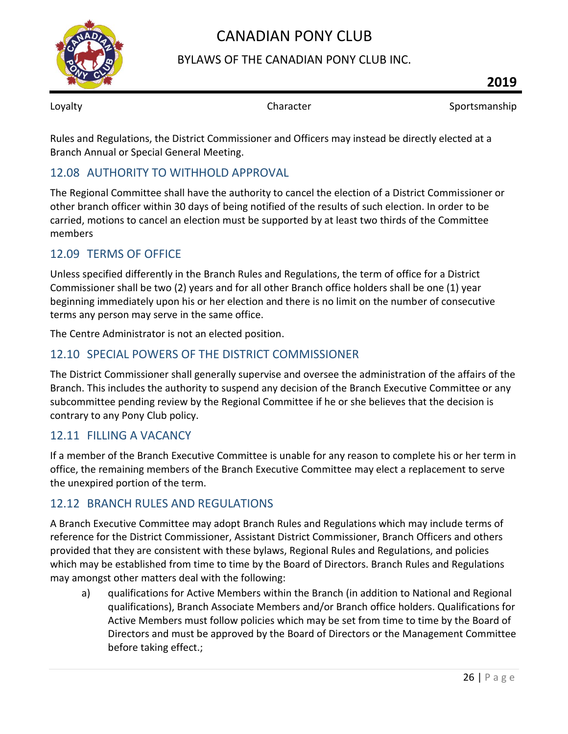

#### BYLAWS OF THE CANADIAN PONY CLUB INC.

Loyalty **Sportsmanship** Character **Sportsmanship** 

Rules and Regulations, the District Commissioner and Officers may instead be directly elected at a Branch Annual or Special General Meeting.

### <span id="page-26-0"></span>12.08 AUTHORITY TO WITHHOLD APPROVAL

The Regional Committee shall have the authority to cancel the election of a District Commissioner or other branch officer within 30 days of being notified of the results of such election. In order to be carried, motions to cancel an election must be supported by at least two thirds of the Committee members

#### <span id="page-26-1"></span>12.09 TERMS OF OFFICE

Unless specified differently in the Branch Rules and Regulations, the term of office for a District Commissioner shall be two (2) years and for all other Branch office holders shall be one (1) year beginning immediately upon his or her election and there is no limit on the number of consecutive terms any person may serve in the same office.

The Centre Administrator is not an elected position.

#### <span id="page-26-2"></span>12.10 SPECIAL POWERS OF THE DISTRICT COMMISSIONER

The District Commissioner shall generally supervise and oversee the administration of the affairs of the Branch. This includes the authority to suspend any decision of the Branch Executive Committee or any subcommittee pending review by the Regional Committee if he or she believes that the decision is contrary to any Pony Club policy.

#### <span id="page-26-3"></span>12.11 FILLING A VACANCY

If a member of the Branch Executive Committee is unable for any reason to complete his or her term in office, the remaining members of the Branch Executive Committee may elect a replacement to serve the unexpired portion of the term.

#### <span id="page-26-4"></span>12.12 BRANCH RULES AND REGULATIONS

A Branch Executive Committee may adopt Branch Rules and Regulations which may include terms of reference for the District Commissioner, Assistant District Commissioner, Branch Officers and others provided that they are consistent with these bylaws, Regional Rules and Regulations, and policies which may be established from time to time by the Board of Directors. Branch Rules and Regulations may amongst other matters deal with the following:

a) qualifications for Active Members within the Branch (in addition to National and Regional qualifications), Branch Associate Members and/or Branch office holders. Qualifications for Active Members must follow policies which may be set from time to time by the Board of Directors and must be approved by the Board of Directors or the Management Committee before taking effect.;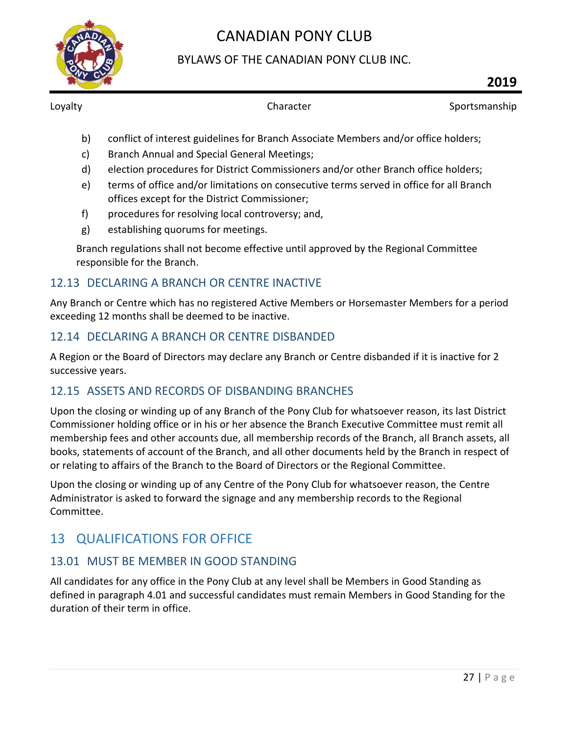

### BYLAWS OF THE CANADIAN PONY CLUB INC.

Loyalty **Sportsmanship** Character **Sportsmanship** 

- b) conflict of interest guidelines for Branch Associate Members and/or office holders;
- c) Branch Annual and Special General Meetings;
- d) election procedures for District Commissioners and/or other Branch office holders;
- e) terms of office and/or limitations on consecutive terms served in office for all Branch offices except for the District Commissioner;
- f) procedures for resolving local controversy; and,
- g) establishing quorums for meetings.

Branch regulations shall not become effective until approved by the Regional Committee responsible for the Branch.

#### <span id="page-27-0"></span>12.13 DECLARING A BRANCH OR CENTRE INACTIVE

Any Branch or Centre which has no registered Active Members or Horsemaster Members for a period exceeding 12 months shall be deemed to be inactive.

#### <span id="page-27-1"></span>12.14 DECLARING A BRANCH OR CENTRE DISBANDED

A Region or the Board of Directors may declare any Branch or Centre disbanded if it is inactive for 2 successive years.

#### <span id="page-27-2"></span>12.15 ASSETS AND RECORDS OF DISBANDING BRANCHES

Upon the closing or winding up of any Branch of the Pony Club for whatsoever reason, its last District Commissioner holding office or in his or her absence the Branch Executive Committee must remit all membership fees and other accounts due, all membership records of the Branch, all Branch assets, all books, statements of account of the Branch, and all other documents held by the Branch in respect of or relating to affairs of the Branch to the Board of Directors or the Regional Committee.

Upon the closing or winding up of any Centre of the Pony Club for whatsoever reason, the Centre Administrator is asked to forward the signage and any membership records to the Regional Committee.

# <span id="page-27-3"></span>13 QUALIFICATIONS FOR OFFICE

### <span id="page-27-4"></span>13.01 MUST BE MEMBER IN GOOD STANDING

All candidates for any office in the Pony Club at any level shall be Members in Good Standing as defined in paragraph 4.01 and successful candidates must remain Members in Good Standing for the duration of their term in office.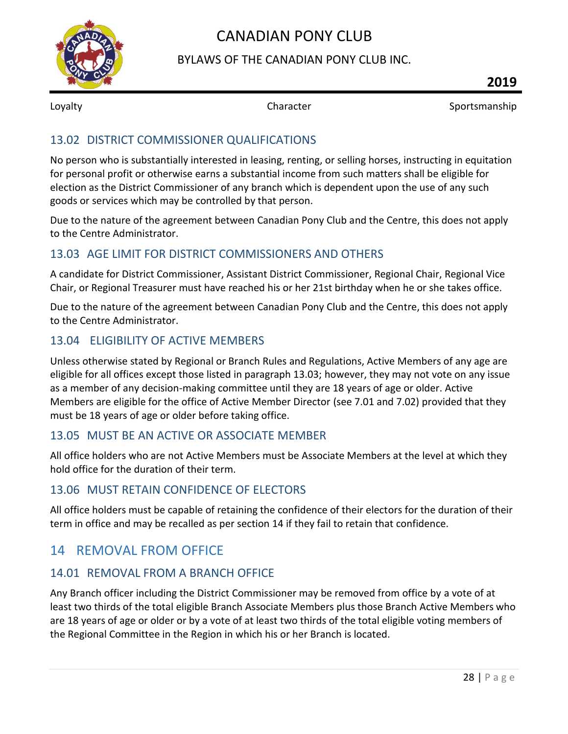

#### BYLAWS OF THE CANADIAN PONY CLUB INC.

Loyalty **Sportsmanship** Character **Sportsmanship** Character Sportsmanship

#### <span id="page-28-0"></span>13.02 DISTRICT COMMISSIONER QUALIFICATIONS

No person who is substantially interested in leasing, renting, or selling horses, instructing in equitation for personal profit or otherwise earns a substantial income from such matters shall be eligible for election as the District Commissioner of any branch which is dependent upon the use of any such goods or services which may be controlled by that person.

Due to the nature of the agreement between Canadian Pony Club and the Centre, this does not apply to the Centre Administrator.

#### <span id="page-28-1"></span>13.03 AGE LIMIT FOR DISTRICT COMMISSIONERS AND OTHERS

A candidate for District Commissioner, Assistant District Commissioner, Regional Chair, Regional Vice Chair, or Regional Treasurer must have reached his or her 21st birthday when he or she takes office.

Due to the nature of the agreement between Canadian Pony Club and the Centre, this does not apply to the Centre Administrator.

#### <span id="page-28-2"></span>13.04 ELIGIBILITY OF ACTIVE MEMBERS

Unless otherwise stated by Regional or Branch Rules and Regulations, Active Members of any age are eligible for all offices except those listed in paragraph 13.03; however, they may not vote on any issue as a member of any decision-making committee until they are 18 years of age or older. Active Members are eligible for the office of Active Member Director (see 7.01 and 7.02) provided that they must be 18 years of age or older before taking office.

#### <span id="page-28-3"></span>13.05 MUST BE AN ACTIVE OR ASSOCIATE MEMBER

All office holders who are not Active Members must be Associate Members at the level at which they hold office for the duration of their term.

#### <span id="page-28-4"></span>13.06 MUST RETAIN CONFIDENCE OF ELECTORS

All office holders must be capable of retaining the confidence of their electors for the duration of their term in office and may be recalled as per section 14 if they fail to retain that confidence.

# <span id="page-28-5"></span>14 REMOVAL FROM OFFICE

#### <span id="page-28-6"></span>14.01 REMOVAL FROM A BRANCH OFFICE

Any Branch officer including the District Commissioner may be removed from office by a vote of at least two thirds of the total eligible Branch Associate Members plus those Branch Active Members who are 18 years of age or older or by a vote of at least two thirds of the total eligible voting members of the Regional Committee in the Region in which his or her Branch is located.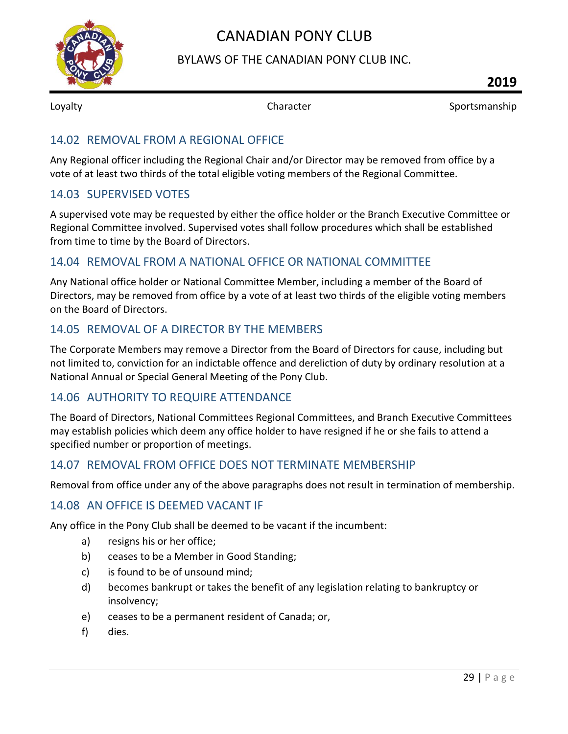

#### BYLAWS OF THE CANADIAN PONY CLUB INC.

Loyalty **Sportsmanship** Character **Sportsmanship** Character Sportsmanship

#### <span id="page-29-0"></span>14.02 REMOVAL FROM A REGIONAL OFFICE

Any Regional officer including the Regional Chair and/or Director may be removed from office by a vote of at least two thirds of the total eligible voting members of the Regional Committee.

#### <span id="page-29-1"></span>14.03 SUPERVISED VOTES

A supervised vote may be requested by either the office holder or the Branch Executive Committee or Regional Committee involved. Supervised votes shall follow procedures which shall be established from time to time by the Board of Directors.

#### <span id="page-29-2"></span>14.04 REMOVAL FROM A NATIONAL OFFICE OR NATIONAL COMMITTEE

Any National office holder or National Committee Member, including a member of the Board of Directors, may be removed from office by a vote of at least two thirds of the eligible voting members on the Board of Directors.

#### <span id="page-29-3"></span>14.05 REMOVAL OF A DIRECTOR BY THE MEMBERS

The Corporate Members may remove a Director from the Board of Directors for cause, including but not limited to, conviction for an indictable offence and dereliction of duty by ordinary resolution at a National Annual or Special General Meeting of the Pony Club.

#### <span id="page-29-4"></span>14.06 AUTHORITY TO REQUIRE ATTENDANCE

The Board of Directors, National Committees Regional Committees, and Branch Executive Committees may establish policies which deem any office holder to have resigned if he or she fails to attend a specified number or proportion of meetings.

#### <span id="page-29-5"></span>14.07 REMOVAL FROM OFFICE DOES NOT TERMINATE MEMBERSHIP

Removal from office under any of the above paragraphs does not result in termination of membership.

#### <span id="page-29-6"></span>14.08 AN OFFICE IS DEEMED VACANT IF

Any office in the Pony Club shall be deemed to be vacant if the incumbent:

- a) resigns his or her office;
- b) ceases to be a Member in Good Standing;
- c) is found to be of unsound mind;
- d) becomes bankrupt or takes the benefit of any legislation relating to bankruptcy or insolvency;
- e) ceases to be a permanent resident of Canada; or,
- f) dies.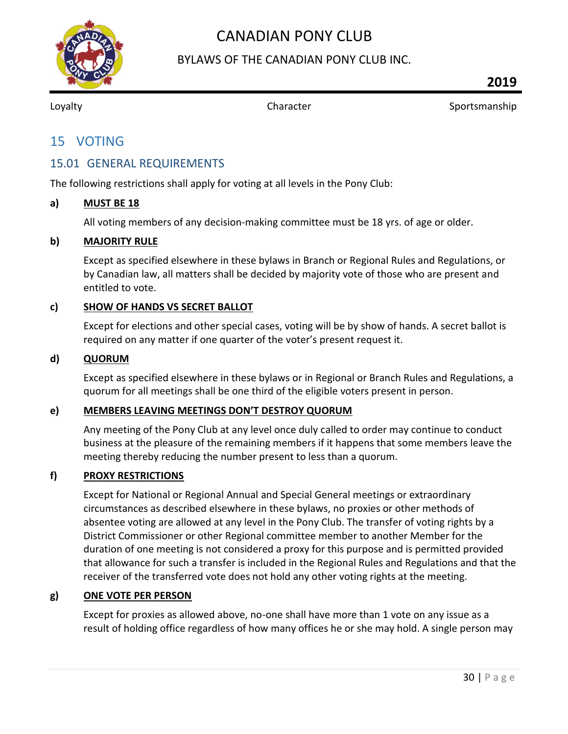

#### BYLAWS OF THE CANADIAN PONY CLUB INC.

<span id="page-30-0"></span>

Loyalty **Sportsmanship** Character **Character** Sportsmanship

# 15 VOTING

#### <span id="page-30-1"></span>15.01 GENERAL REQUIREMENTS

The following restrictions shall apply for voting at all levels in the Pony Club:

#### <span id="page-30-2"></span>**a) MUST BE 18**

All voting members of any decision-making committee must be 18 yrs. of age or older.

#### <span id="page-30-3"></span>**b) MAJORITY RULE**

Except as specified elsewhere in these bylaws in Branch or Regional Rules and Regulations, or by Canadian law, all matters shall be decided by majority vote of those who are present and entitled to vote.

#### <span id="page-30-4"></span>**c) SHOW OF HANDS VS SECRET BALLOT**

Except for elections and other special cases, voting will be by show of hands. A secret ballot is required on any matter if one quarter of the voter's present request it.

#### <span id="page-30-5"></span>**d) QUORUM**

Except as specified elsewhere in these bylaws or in Regional or Branch Rules and Regulations, a quorum for all meetings shall be one third of the eligible voters present in person.

#### <span id="page-30-6"></span>**e) MEMBERS LEAVING MEETINGS DON'T DESTROY QUORUM**

Any meeting of the Pony Club at any level once duly called to order may continue to conduct business at the pleasure of the remaining members if it happens that some members leave the meeting thereby reducing the number present to less than a quorum.

#### <span id="page-30-7"></span>**f) PROXY RESTRICTIONS**

Except for National or Regional Annual and Special General meetings or extraordinary circumstances as described elsewhere in these bylaws, no proxies or other methods of absentee voting are allowed at any level in the Pony Club. The transfer of voting rights by a District Commissioner or other Regional committee member to another Member for the duration of one meeting is not considered a proxy for this purpose and is permitted provided that allowance for such a transfer is included in the Regional Rules and Regulations and that the receiver of the transferred vote does not hold any other voting rights at the meeting.

#### <span id="page-30-8"></span>**g) ONE VOTE PER PERSON**

Except for proxies as allowed above, no-one shall have more than 1 vote on any issue as a result of holding office regardless of how many offices he or she may hold. A single person may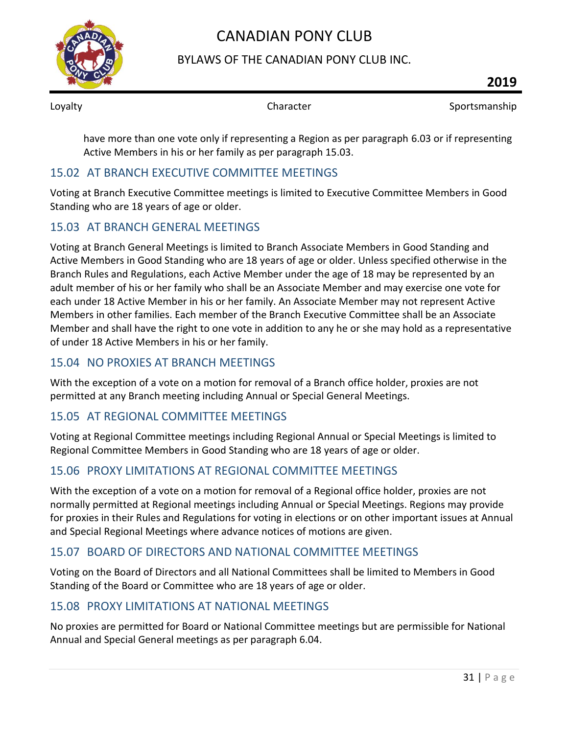

#### BYLAWS OF THE CANADIAN PONY CLUB INC.

Loyalty **Sportsmanship** Character **Sportsmanship** Character Sportsmanship

have more than one vote only if representing a Region as per paragraph 6.03 or if representing Active Members in his or her family as per paragraph 15.03.

#### <span id="page-31-0"></span>15.02 AT BRANCH EXECUTIVE COMMITTEE MEETINGS

Voting at Branch Executive Committee meetings is limited to Executive Committee Members in Good Standing who are 18 years of age or older.

#### <span id="page-31-1"></span>15.03 AT BRANCH GENERAL MEETINGS

Voting at Branch General Meetings is limited to Branch Associate Members in Good Standing and Active Members in Good Standing who are 18 years of age or older. Unless specified otherwise in the Branch Rules and Regulations, each Active Member under the age of 18 may be represented by an adult member of his or her family who shall be an Associate Member and may exercise one vote for each under 18 Active Member in his or her family. An Associate Member may not represent Active Members in other families. Each member of the Branch Executive Committee shall be an Associate Member and shall have the right to one vote in addition to any he or she may hold as a representative of under 18 Active Members in his or her family.

#### <span id="page-31-2"></span>15.04 NO PROXIES AT BRANCH MEETINGS

With the exception of a vote on a motion for removal of a Branch office holder, proxies are not permitted at any Branch meeting including Annual or Special General Meetings.

### <span id="page-31-3"></span>15.05 AT REGIONAL COMMITTEE MEETINGS

Voting at Regional Committee meetings including Regional Annual or Special Meetings is limited to Regional Committee Members in Good Standing who are 18 years of age or older.

### <span id="page-31-4"></span>15.06 PROXY LIMITATIONS AT REGIONAL COMMITTEE MEETINGS

With the exception of a vote on a motion for removal of a Regional office holder, proxies are not normally permitted at Regional meetings including Annual or Special Meetings. Regions may provide for proxies in their Rules and Regulations for voting in elections or on other important issues at Annual and Special Regional Meetings where advance notices of motions are given.

### <span id="page-31-5"></span>15.07 BOARD OF DIRECTORS AND NATIONAL COMMITTEE MEETINGS

Voting on the Board of Directors and all National Committees shall be limited to Members in Good Standing of the Board or Committee who are 18 years of age or older.

### <span id="page-31-6"></span>15.08 PROXY LIMITATIONS AT NATIONAL MEETINGS

No proxies are permitted for Board or National Committee meetings but are permissible for National Annual and Special General meetings as per paragraph 6.04.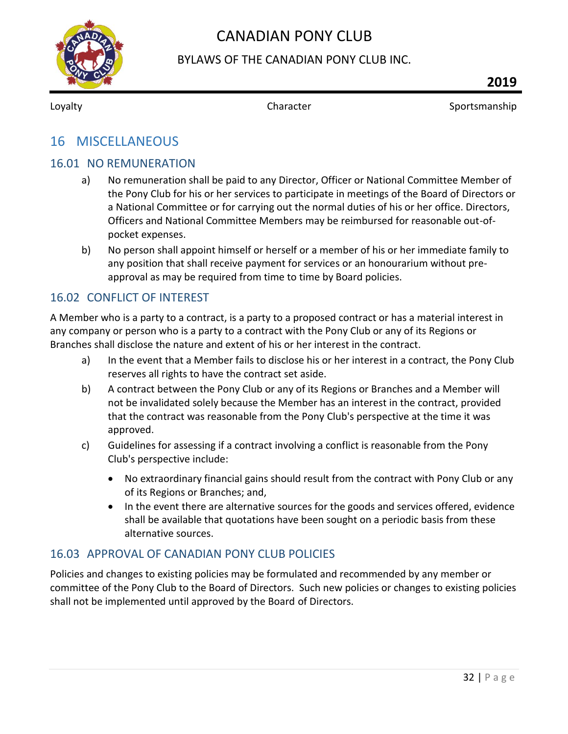

#### BYLAWS OF THE CANADIAN PONY CLUB INC.

<span id="page-32-0"></span>

Loyalty **Sportsmanship** Character **Character** Sportsmanship

# 16 MISCELLANEOUS

#### <span id="page-32-1"></span>16.01 NO REMUNERATION

- a) No remuneration shall be paid to any Director, Officer or National Committee Member of the Pony Club for his or her services to participate in meetings of the Board of Directors or a National Committee or for carrying out the normal duties of his or her office. Directors, Officers and National Committee Members may be reimbursed for reasonable out-ofpocket expenses.
- b) No person shall appoint himself or herself or a member of his or her immediate family to any position that shall receive payment for services or an honourarium without preapproval as may be required from time to time by Board policies.

#### <span id="page-32-2"></span>16.02 CONFLICT OF INTEREST

A Member who is a party to a contract, is a party to a proposed contract or has a material interest in any company or person who is a party to a contract with the Pony Club or any of its Regions or Branches shall disclose the nature and extent of his or her interest in the contract.

- a) In the event that a Member fails to disclose his or her interest in a contract, the Pony Club reserves all rights to have the contract set aside.
- b) A contract between the Pony Club or any of its Regions or Branches and a Member will not be invalidated solely because the Member has an interest in the contract, provided that the contract was reasonable from the Pony Club's perspective at the time it was approved.
- c) Guidelines for assessing if a contract involving a conflict is reasonable from the Pony Club's perspective include:
	- No extraordinary financial gains should result from the contract with Pony Club or any of its Regions or Branches; and,
	- In the event there are alternative sources for the goods and services offered, evidence shall be available that quotations have been sought on a periodic basis from these alternative sources.

#### <span id="page-32-3"></span>16.03 APPROVAL OF CANADIAN PONY CLUB POLICIES

Policies and changes to existing policies may be formulated and recommended by any member or committee of the Pony Club to the Board of Directors. Such new policies or changes to existing policies shall not be implemented until approved by the Board of Directors.